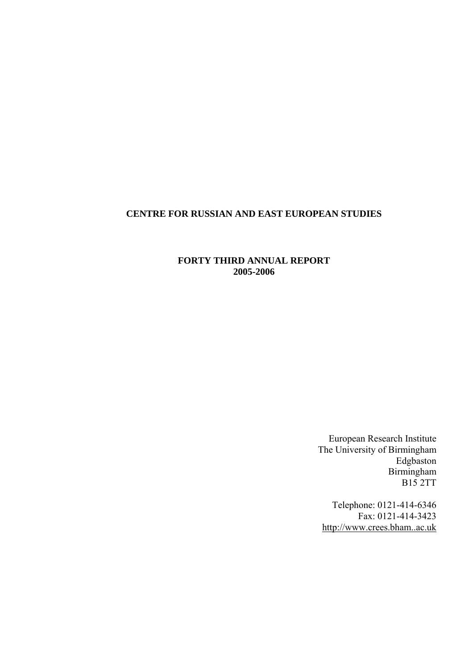# **CENTRE FOR RUSSIAN AND EAST EUROPEAN STUDIES**

# **FORTY THIRD ANNUAL REPORT 2005-2006**

European Research Institute The University of Birmingham Edgbaston Birmingham B15 2TT

Telephone: 0121-414-6346 Fax: 0121-414-3423 [http://www.crees.bham..ac.uk](http://www.crees.bham..ac.uk/)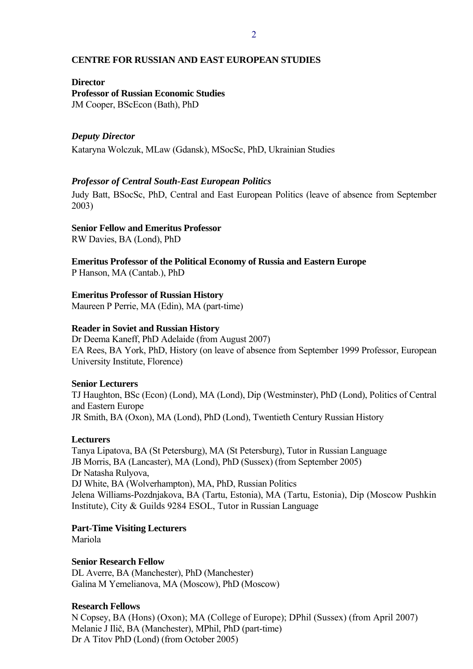## **CENTRE FOR RUSSIAN AND EAST EUROPEAN STUDIES**

### **Director**

**Professor of Russian Economic Studies**  JM Cooper, BScEcon (Bath), PhD

## *Deputy Director*

Kataryna Wolczuk, MLaw (Gdansk), MSocSc, PhD, Ukrainian Studies

## *Professor of Central South-East European Politics*

Judy Batt, BSocSc, PhD, Central and East European Politics (leave of absence from September 2003)

## **Senior Fellow and Emeritus Professor**

RW Davies, BA (Lond), PhD

## **Emeritus Professor of the Political Economy of Russia and Eastern Europe**

P Hanson, MA (Cantab.), PhD

**Emeritus Professor of Russian History** 

Maureen P Perrie, MA (Edin), MA (part-time)

## **Reader in Soviet and Russian History**

Dr Deema Kaneff, PhD Adelaide (from August 2007) EA Rees, BA York, PhD, History (on leave of absence from September 1999 Professor, European University Institute, Florence)

## **Senior Lecturers**

TJ Haughton, BSc (Econ) (Lond), MA (Lond), Dip (Westminster), PhD (Lond), Politics of Central and Eastern Europe JR Smith, BA (Oxon), MA (Lond), PhD (Lond), Twentieth Century Russian History

## **Lecturers**

Tanya Lipatova, BA (St Petersburg), MA (St Petersburg), Tutor in Russian Language JB Morris, BA (Lancaster), MA (Lond), PhD (Sussex) (from September 2005) Dr Natasha Rulyova, DJ White, BA (Wolverhampton), MA, PhD, Russian Politics Jelena Williams-Pozdnjakova, BA (Tartu, Estonia), MA (Tartu, Estonia), Dip (Moscow Pushkin Institute), City & Guilds 9284 ESOL, Tutor in Russian Language

**Part-Time Visiting Lecturers** 

Mariola

## **Senior Research Fellow**

DL Averre, BA (Manchester), PhD (Manchester) Galina M Yemelianova, MA (Moscow), PhD (Moscow)

## **Research Fellows**

N Copsey, BA (Hons) (Oxon); MA (College of Europe); DPhil (Sussex) (from April 2007) Melanie J Ilič, BA (Manchester), MPhil, PhD (part-time) Dr A Titov PhD (Lond) (from October 2005)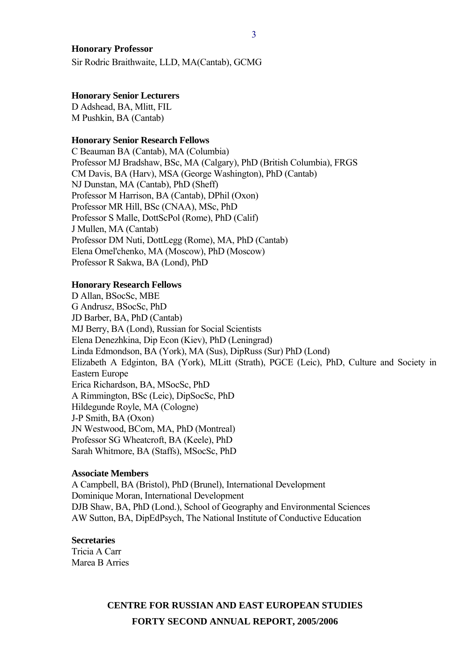### **Honorary Professor**

Sir Rodric Braithwaite, LLD, MA(Cantab), GCMG

#### **Honorary Senior Lecturers**

D Adshead, BA, Mlitt, FIL M Pushkin, BA (Cantab)

#### **Honorary Senior Research Fellows**

C Beauman BA (Cantab), MA (Columbia) Professor MJ Bradshaw, BSc, MA (Calgary), PhD (British Columbia), FRGS CM Davis, BA (Harv), MSA (George Washington), PhD (Cantab) NJ Dunstan, MA (Cantab), PhD (Sheff) Professor M Harrison, BA (Cantab), DPhil (Oxon) Professor MR Hill, BSc (CNAA), MSc, PhD Professor S Malle, DottScPol (Rome), PhD (Calif) J Mullen, MA (Cantab) Professor DM Nuti, DottLegg (Rome), MA, PhD (Cantab) Elena Omel'chenko, MA (Moscow), PhD (Moscow) Professor R Sakwa, BA (Lond), PhD

#### **Honorary Research Fellows**

D Allan, BSocSc, MBE G Andrusz, BSocSc, PhD JD Barber, BA, PhD (Cantab) MJ Berry, BA (Lond), Russian for Social Scientists Elena Denezhkina, Dip Econ (Kiev), PhD (Leningrad) Linda Edmondson, BA (York), MA (Sus), DipRuss (Sur) PhD (Lond) Elizabeth A Edginton, BA (York), MLitt (Strath), PGCE (Leic), PhD, Culture and Society in Eastern Europe Erica Richardson, BA, MSocSc, PhD A Rimmington, BSc (Leic), DipSocSc, PhD Hildegunde Royle, MA (Cologne) J-P Smith, BA (Oxon) JN Westwood, BCom, MA, PhD (Montreal) Professor SG Wheatcroft, BA (Keele), PhD Sarah Whitmore, BA (Staffs), MSocSc, PhD

#### **Associate Members**

A Campbell, BA (Bristol), PhD (Brunel), International Development Dominique Moran, International Development DJB Shaw, BA, PhD (Lond.), School of Geography and Environmental Sciences AW Sutton, BA, DipEdPsych, The National Institute of Conductive Education

## **Secretaries**

Tricia A Carr Marea B Arries

# **CENTRE FOR RUSSIAN AND EAST EUROPEAN STUDIES FORTY SECOND ANNUAL REPORT, 2005/2006**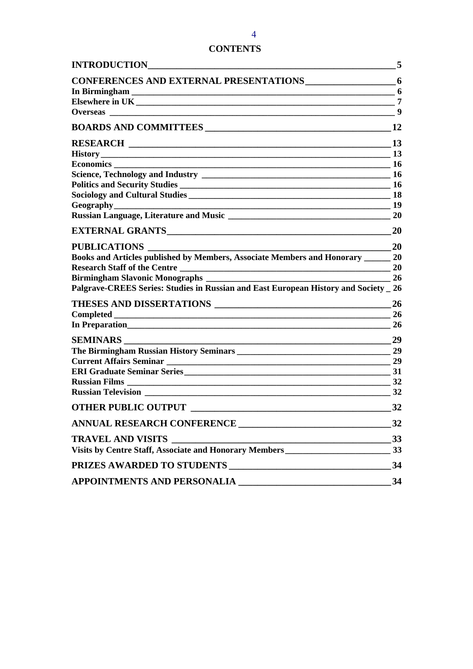# **CONTENTS**

| <b>INTRODUCTION</b>                                                                                                                              | 5         |
|--------------------------------------------------------------------------------------------------------------------------------------------------|-----------|
| <b>CONFERENCES AND EXTERNAL PRESENTATIONS</b>                                                                                                    | 6         |
| $\overline{\phantom{a}}$ 6                                                                                                                       |           |
|                                                                                                                                                  | 7         |
| <b>Overseas</b>                                                                                                                                  | 9         |
|                                                                                                                                                  | 12        |
|                                                                                                                                                  | 13        |
|                                                                                                                                                  |           |
| Economics _______                                                                                                                                | <b>16</b> |
|                                                                                                                                                  | -16       |
|                                                                                                                                                  | <b>16</b> |
|                                                                                                                                                  | <b>18</b> |
|                                                                                                                                                  | -19       |
|                                                                                                                                                  | <b>20</b> |
|                                                                                                                                                  | 20        |
| <b>PUBLICATIONS</b>                                                                                                                              | <b>20</b> |
| Books and Articles published by Members, Associate Members and Honorary                                                                          | 20        |
|                                                                                                                                                  | 20        |
| <b>Birmingham Slavonic Monographs</b> _____                                                                                                      | 26        |
| Palgrave-CREES Series: Studies in Russian and East European History and Society _ 26                                                             |           |
| THESES AND DISSERTATIONS                                                                                                                         | 26        |
|                                                                                                                                                  | 26        |
|                                                                                                                                                  | <b>26</b> |
| <b>SEMINARS</b>                                                                                                                                  | 29        |
|                                                                                                                                                  | 29        |
|                                                                                                                                                  | 29        |
|                                                                                                                                                  | 31        |
|                                                                                                                                                  | 32        |
| <b>Russian Television</b>                                                                                                                        | 32        |
| <b>OTHER PUBLIC OUTPUT</b><br><u> 1980 - Andrea Andrew Maria (h. 1980).</u>                                                                      | 32        |
|                                                                                                                                                  | 32        |
| <b>TRAVEL AND VISITS</b><br><u> 1989 - Johann Stein, marwolaethau a bhann an t-Amhain an t-Amhain an t-Amhain an t-Amhain an t-Amhain an t-A</u> | 33        |
| Visits by Centre Staff, Associate and Honorary Members__________________________                                                                 | 33        |
| PRIZES AWARDED TO STUDENTS<br><u> 1986 - Andrea Andrew Maria Barbara, amerikan</u>                                                               | 34        |
| APPOINTMENTS AND PERSONALIA                                                                                                                      | 34        |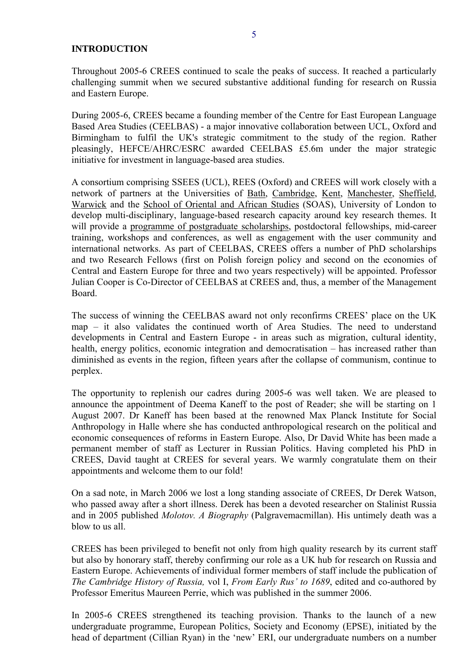### <span id="page-4-0"></span>**INTRODUCTION**

During 2005-6, CREES became a founding member of the Centre for East European Language Based Area Studies (CEELBAS) - a major innovative collaboration between UCL, Oxford and Birmingham to fulfil the UK's strategic commitment to the study of the region. Rather pleasingly, HEFCE/AHRC/ESRC awarded CEELBAS £5.6m under the major strategic initiative for investment in language-based area studies.

A consortium comprising SSEES (UCL), REES (Oxford) and CREES will work closely with a network of partners at the Universities of [Bath,](http://www.bath.ac.uk/) [Cambridge,](http://www.cam.ac.uk/) [Kent](http://www.kent.ac.uk/), [Manchester](http://www.manchester.ac.uk/), [Sheffield,](http://www.shef.ac.uk/) [Warwick](http://www2.warwick.ac.uk/) and the [School of Oriental and African Studies](http://www.soas.ac.uk/) (SOAS), University of London to develop multi-disciplinary, language-based research capacity around key research themes. It will provide a [programme of postgraduate scholarships](http://www.ssees.ac.uk/ceelbaspgopp.htm), postdoctoral fellowships, mid-career training, workshops and conferences, as well as engagement with the user community and international networks. As part of CEELBAS, CREES offers a number of PhD scholarships and two Research Fellows (first on Polish foreign policy and second on the economies of Central and Eastern Europe for three and two years respectively) will be appointed. Professor Julian Cooper is Co-Director of CEELBAS at CREES and, thus, a member of the Management Board.

The success of winning the CEELBAS award not only reconfirms CREES' place on the UK map – it also validates the continued worth of Area Studies. The need to understand developments in Central and Eastern Europe - in areas such as migration, cultural identity, health, energy politics, economic integration and democratisation – has increased rather than diminished as events in the region, fifteen years after the collapse of communism, continue to perplex.

The opportunity to replenish our cadres during 2005-6 was well taken. We are pleased to announce the appointment of Deema Kaneff to the post of Reader; she will be starting on 1 August 2007. Dr Kaneff has been based at the renowned Max Planck Institute for Social Anthropology in Halle where she has conducted anthropological research on the political and economic consequences of reforms in Eastern Europe. Also, Dr David White has been made a permanent member of staff as Lecturer in Russian Politics. Having completed his PhD in CREES, David taught at CREES for several years. We warmly congratulate them on their appointments and welcome them to our fold!

On a sad note, in March 2006 we lost a long standing associate of CREES, Dr Derek Watson, who passed away after a short illness. Derek has been a devoted researcher on Stalinist Russia and in 2005 published *Molotov. A Biography* (Palgravemacmillan). His untimely death was a blow to us all.

CREES has been privileged to benefit not only from high quality research by its current staff but also by honorary staff, thereby confirming our role as a UK hub for research on Russia and Eastern Europe. Achievements of individual former members of staff include the publication of *The Cambridge History of Russia,* vol I, *From Early Rus' to 1689*, edited and co-authored by Professor Emeritus Maureen Perrie, which was published in the summer 2006.

In 2005-6 CREES strengthened its teaching provision. Thanks to the launch of a new undergraduate programme, European Politics, Society and Economy (EPSE), initiated by the head of department (Cillian Ryan) in the 'new' ERI, our undergraduate numbers on a number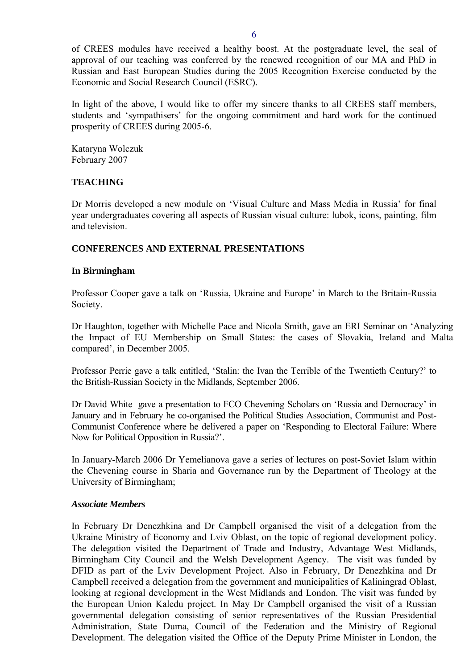<span id="page-5-0"></span>of CREES modules have received a healthy boost. At the postgraduate level, the seal of approval of our teaching was conferred by the renewed recognition of our MA and PhD in Russian and East European Studies during the 2005 Recognition Exercise conducted by the Economic and Social Research Council (ESRC).

In light of the above, I would like to offer my sincere thanks to all CREES staff members, students and 'sympathisers' for the ongoing commitment and hard work for the continued prosperity of CREES during 2005-6.

Kataryna Wolczuk February 2007

# **TEACHING**

Dr Morris developed a new module on 'Visual Culture and Mass Media in Russia' for final year undergraduates covering all aspects of Russian visual culture: lubok, icons, painting, film and television.

## **CONFERENCES AND EXTERNAL PRESENTATIONS**

## **In Birmingham**

Professor Cooper gave a talk on 'Russia, Ukraine and Europe' in March to the Britain-Russia Society.

Dr Haughton, together with Michelle Pace and Nicola Smith, gave an ERI Seminar on 'Analyzing the Impact of EU Membership on Small States: the cases of Slovakia, Ireland and Malta compared', in December 2005.

Professor Perrie gave a talk entitled, 'Stalin: the Ivan the Terrible of the Twentieth Century?' to the British-Russian Society in the Midlands, September 2006.

Dr David White gave a presentation to FCO Chevening Scholars on 'Russia and Democracy' in January and in February he co-organised the Political Studies Association, Communist and Post-Communist Conference where he delivered a paper on 'Responding to Electoral Failure: Where Now for Political Opposition in Russia?'.

In January-March 2006 Dr Yemelianova gave a series of lectures on post-Soviet Islam within the Chevening course in Sharia and Governance run by the Department of Theology at the University of Birmingham;

## *Associate Members*

In February Dr Denezhkina and Dr Campbell organised the visit of a delegation from the Ukraine Ministry of Economy and Lviv Oblast, on the topic of regional development policy. The delegation visited the Department of Trade and Industry, Advantage West Midlands, Birmingham City Council and the Welsh Development Agency. The visit was funded by DFID as part of the Lviv Development Project. Also in February, Dr Denezhkina and Dr Campbell received a delegation from the government and municipalities of Kaliningrad Oblast, looking at regional development in the West Midlands and London. The visit was funded by the European Union Kaledu project. In May Dr Campbell organised the visit of a Russian governmental delegation consisting of senior representatives of the Russian Presidential Administration, State Duma, Council of the Federation and the Ministry of Regional Development. The delegation visited the Office of the Deputy Prime Minister in London, the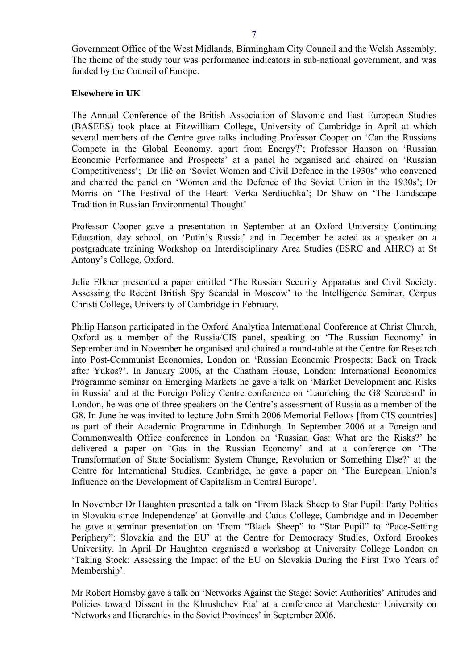<span id="page-6-0"></span>Government Office of the West Midlands, Birmingham City Council and the Welsh Assembly. The theme of the study tour was performance indicators in sub-national government, and was funded by the Council of Europe.

### **Elsewhere in UK**

The Annual Conference of the British Association of Slavonic and East European Studies (BASEES) took place at Fitzwilliam College, University of Cambridge in April at which several members of the Centre gave talks including Professor Cooper on 'Can the Russians Compete in the Global Economy, apart from Energy?'; Professor Hanson on 'Russian Economic Performance and Prospects' at a panel he organised and chaired on 'Russian Competitiveness'; Dr Ilič on 'Soviet Women and Civil Defence in the 1930s' who convened and chaired the panel on 'Women and the Defence of the Soviet Union in the 1930s'; Dr Morris on 'The Festival of the Heart: Verka Serdiuchka'; Dr Shaw on 'The Landscape Tradition in Russian Environmental Thought'

Professor Cooper gave a presentation in September at an Oxford University Continuing Education, day school, on 'Putin's Russia' and in December he acted as a speaker on a postgraduate training Workshop on Interdisciplinary Area Studies (ESRC and AHRC) at St Antony's College, Oxford.

Julie Elkner presented a paper entitled 'The Russian Security Apparatus and Civil Society: Assessing the Recent British Spy Scandal in Moscow' to the Intelligence Seminar, Corpus Christi College, University of Cambridge in February.

Philip Hanson participated in the Oxford Analytica International Conference at Christ Church, Oxford as a member of the Russia/CIS panel, speaking on 'The Russian Economy' in September and in November he organised and chaired a round-table at the Centre for Research into Post-Communist Economies, London on 'Russian Economic Prospects: Back on Track after Yukos?'. In January 2006, at the Chatham House, London: International Economics Programme seminar on Emerging Markets he gave a talk on 'Market Development and Risks in Russia' and at the Foreign Policy Centre conference on 'Launching the G8 Scorecard' in London, he was one of three speakers on the Centre's assessment of Russia as a member of the G8. In June he was invited to lecture John Smith 2006 Memorial Fellows [from CIS countries] as part of their Academic Programme in Edinburgh. In September 2006 at a Foreign and Commonwealth Office conference in London on 'Russian Gas: What are the Risks?' he delivered a paper on 'Gas in the Russian Economy' and at a conference on 'The Transformation of State Socialism: System Change, Revolution or Something Else?' at the Centre for International Studies, Cambridge, he gave a paper on 'The European Union's Influence on the Development of Capitalism in Central Europe'.

In November Dr Haughton presented a talk on 'From Black Sheep to Star Pupil: Party Politics in Slovakia since Independence' at Gonville and Caius College, Cambridge and in December he gave a seminar presentation on 'From "Black Sheep" to "Star Pupil" to "Pace-Setting Periphery": Slovakia and the EU' at the Centre for Democracy Studies, Oxford Brookes University. In April Dr Haughton organised a workshop at University College London on 'Taking Stock: Assessing the Impact of the EU on Slovakia During the First Two Years of Membership'.

Mr Robert Hornsby gave a talk on 'Networks Against the Stage: Soviet Authorities' Attitudes and Policies toward Dissent in the Khrushchev Era' at a conference at Manchester University on 'Networks and Hierarchies in the Soviet Provinces' in September 2006.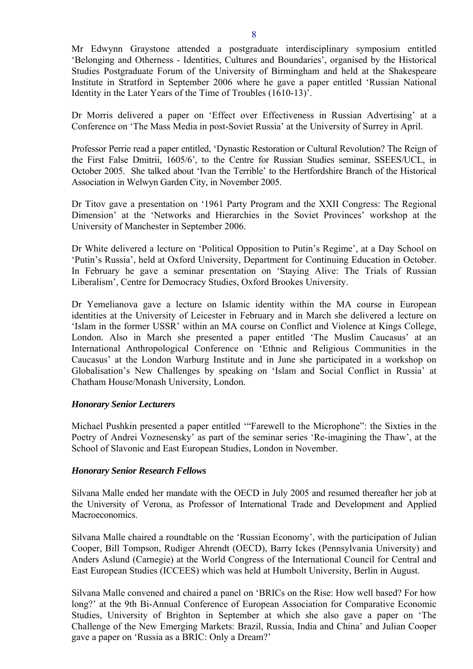Mr Edwynn Graystone attended a postgraduate interdisciplinary symposium entitled 'Belonging and Otherness - Identities, Cultures and Boundaries', organised by the Historical Studies Postgraduate Forum of the University of Birmingham and held at the Shakespeare Institute in Stratford in September 2006 where he gave a paper entitled 'Russian National Identity in the Later Years of the Time of Troubles (1610-13)'.

Dr Morris delivered a paper on 'Effect over Effectiveness in Russian Advertising' at a Conference on 'The Mass Media in post-Soviet Russia' at the University of Surrey in April.

Professor Perrie read a paper entitled, 'Dynastic Restoration or Cultural Revolution? The Reign of the First False Dmitrii, 1605/6', to the Centre for Russian Studies seminar, SSEES/UCL, in October 2005. She talked about 'Ivan the Terrible' to the Hertfordshire Branch of the Historical Association in Welwyn Garden City, in November 2005.

Dr Titov gave a presentation on '1961 Party Program and the XXII Congress: The Regional Dimension' at the 'Networks and Hierarchies in the Soviet Provinces' workshop at the University of Manchester in September 2006.

Dr White delivered a lecture on 'Political Opposition to Putin's Regime', at a Day School on 'Putin's Russia', held at Oxford University, Department for Continuing Education in October. In February he gave a seminar presentation on 'Staying Alive: The Trials of Russian Liberalism', Centre for Democracy Studies, Oxford Brookes University.

Dr Yemelianova gave a lecture on Islamic identity within the MA course in European identities at the University of Leicester in February and in March she delivered a lecture on 'Islam in the former USSR' within an MA course on Conflict and Violence at Kings College, London. Also in March she presented a paper entitled 'The Muslim Caucasus' at an International Anthropological Conference on 'Ethnic and Religious Communities in the Caucasus' at the London Warburg Institute and in June she participated in a workshop on Globalisation's New Challenges by speaking on 'Islam and Social Conflict in Russia' at Chatham House/Monash University, London.

## *Honorary Senior Lecturers*

Michael Pushkin presented a paper entitled '"Farewell to the Microphone": the Sixties in the Poetry of Andrei Voznesensky' as part of the seminar series 'Re-imagining the Thaw', at the School of Slavonic and East European Studies, London in November.

## *Honorary Senior Research Fellows*

Silvana Malle ended her mandate with the OECD in July 2005 and resumed thereafter her job at the University of Verona, as Professor of International Trade and Development and Applied Macroeconomics.

Silvana Malle chaired a roundtable on the 'Russian Economy', with the participation of Julian Cooper, Bill Tompson, Rudiger Ahrendt (OECD), Barry Ickes (Pennsylvania University) and Anders Aslund (Carnegie) at the World Congress of the International Council for Central and East European Studies (ICCEES) which was held at Humbolt University, Berlin in August.

Silvana Malle convened and chaired a panel on 'BRICs on the Rise: How well based? For how long?' at the 9th Bi-Annual Conference of European Association for Comparative Economic Studies, University of Brighton in September at which she also gave a paper on 'The Challenge of the New Emerging Markets: Brazil, Russia, India and China' and Julian Cooper gave a paper on 'Russia as a BRIC: Only a Dream?'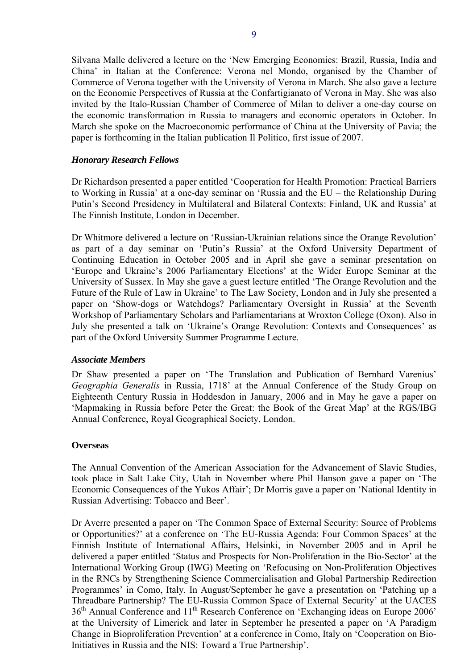<span id="page-8-0"></span>Silvana Malle delivered a lecture on the 'New Emerging Economies: Brazil, Russia, India and China' in Italian at the Conference: Verona nel Mondo, organised by the Chamber of Commerce of Verona together with the University of Verona in March. She also gave a lecture on the Economic Perspectives of Russia at the Confartigianato of Verona in May. She was also invited by the Italo-Russian Chamber of Commerce of Milan to deliver a one-day course on the economic transformation in Russia to managers and economic operators in October. In March she spoke on the Macroeconomic performance of China at the University of Pavia; the paper is forthcoming in the Italian publication Il Politico, first issue of 2007.

## *Honorary Research Fellows*

Dr Richardson presented a paper entitled 'Cooperation for Health Promotion: Practical Barriers to Working in Russia' at a one-day seminar on 'Russia and the EU – the Relationship During Putin's Second Presidency in Multilateral and Bilateral Contexts: Finland, UK and Russia' at The Finnish Institute, London in December.

Dr Whitmore delivered a lecture on 'Russian-Ukrainian relations since the Orange Revolution' as part of a day seminar on 'Putin's Russia' at the Oxford University Department of Continuing Education in October 2005 and in April she gave a seminar presentation on 'Europe and Ukraine's 2006 Parliamentary Elections' at the Wider Europe Seminar at the University of Sussex. In May she gave a guest lecture entitled 'The Orange Revolution and the Future of the Rule of Law in Ukraine' to The Law Society, London and in July she presented a paper on 'Show-dogs or Watchdogs? Parliamentary Oversight in Russia' at the Seventh Workshop of Parliamentary Scholars and Parliamentarians at Wroxton College (Oxon). Also in July she presented a talk on 'Ukraine's Orange Revolution: Contexts and Consequences' as part of the Oxford University Summer Programme Lecture.

## *Associate Members*

Dr Shaw presented a paper on 'The Translation and Publication of Bernhard Varenius' *Geographia Generalis* in Russia, 1718' at the Annual Conference of the Study Group on Eighteenth Century Russia in Hoddesdon in January, 2006 and in May he gave a paper on 'Mapmaking in Russia before Peter the Great: the Book of the Great Map' at the RGS/IBG Annual Conference, Royal Geographical Society, London.

### **Overseas**

The Annual Convention of the American Association for the Advancement of Slavic Studies, took place in Salt Lake City, Utah in November where Phil Hanson gave a paper on 'The Economic Consequences of the Yukos Affair'; Dr Morris gave a paper on 'National Identity in Russian Advertising: Tobacco and Beer'.

Dr Averre presented a paper on 'The Common Space of External Security: Source of Problems or Opportunities?' at a conference on 'The EU-Russia Agenda: Four Common Spaces' at the Finnish Institute of International Affairs, Helsinki, in November 2005 and in April he delivered a paper entitled 'Status and Prospects for Non-Proliferation in the Bio-Sector' at the International Working Group (IWG) Meeting on 'Refocusing on Non-Proliferation Objectives in the RNCs by Strengthening Science Commercialisation and Global Partnership Redirection Programmes' in Como, Italy. In August/September he gave a presentation on 'Patching up a Threadbare Partnership? The EU-Russia Common Space of External Security' at the UACES 36<sup>th</sup> Annual Conference and 11<sup>th</sup> Research Conference on 'Exchanging ideas on Europe 2006' at the University of Limerick and later in September he presented a paper on 'A Paradigm Change in Bioproliferation Prevention' at a conference in Como, Italy on 'Cooperation on Bio-Initiatives in Russia and the NIS: Toward a True Partnership'.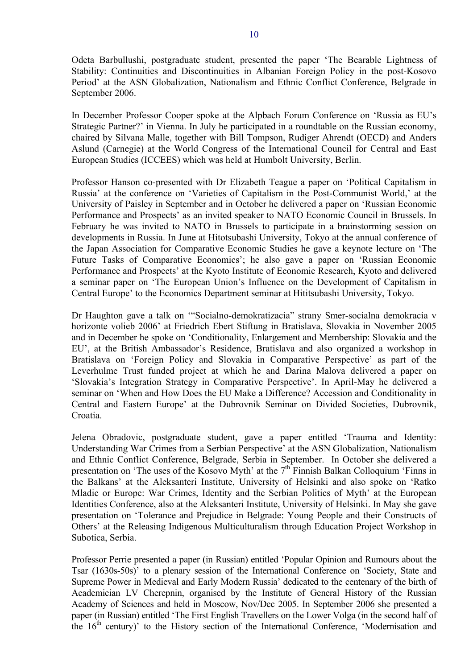Odeta Barbullushi, postgraduate student, presented the paper 'The Bearable Lightness of Stability: Continuities and Discontinuities in Albanian Foreign Policy in the post-Kosovo Period' at the ASN Globalization, Nationalism and Ethnic Conflict Conference, Belgrade in September 2006.

In December Professor Cooper spoke at the Alpbach Forum Conference on 'Russia as EU's Strategic Partner?' in Vienna. In July he participated in a roundtable on the Russian economy, chaired by Silvana Malle, together with Bill Tompson, Rudiger Ahrendt (OECD) and Anders Aslund (Carnegie) at the World Congress of the International Council for Central and East European Studies (ICCEES) which was held at Humbolt University, Berlin.

Professor Hanson co-presented with Dr Elizabeth Teague a paper on 'Political Capitalism in Russia' at the conference on 'Varieties of Capitalism in the Post-Communist World,' at the University of Paisley in September and in October he delivered a paper on 'Russian Economic Performance and Prospects' as an invited speaker to NATO Economic Council in Brussels. In February he was invited to NATO in Brussels to participate in a brainstorming session on developments in Russia. In June at Hitotsubashi University, Tokyo at the annual conference of the Japan Association for Comparative Economic Studies he gave a keynote lecture on 'The Future Tasks of Comparative Economics'; he also gave a paper on 'Russian Economic Performance and Prospects' at the Kyoto Institute of Economic Research, Kyoto and delivered a seminar paper on 'The European Union's Influence on the Development of Capitalism in Central Europe' to the Economics Department seminar at Hititsubashi University, Tokyo.

Dr Haughton gave a talk on '"Socialno-demokratizacia" strany Smer-socialna demokracia v horizonte volieb 2006' at Friedrich Ebert Stiftung in Bratislava, Slovakia in November 2005 and in December he spoke on 'Conditionality, Enlargement and Membership: Slovakia and the EU', at the British Ambassador's Residence, Bratislava and also organized a workshop in Bratislava on 'Foreign Policy and Slovakia in Comparative Perspective' as part of the Leverhulme Trust funded project at which he and Darina Malova delivered a paper on 'Slovakia's Integration Strategy in Comparative Perspective'. In April-May he delivered a seminar on 'When and How Does the EU Make a Difference? Accession and Conditionality in Central and Eastern Europe' at the Dubrovnik Seminar on Divided Societies, Dubrovnik, Croatia.

Jelena Obradovic, postgraduate student, gave a paper entitled 'Trauma and Identity: Understanding War Crimes from a Serbian Perspective' at the ASN Globalization, Nationalism and Ethnic Conflict Conference, Belgrade, Serbia in September. In October she delivered a presentation on 'The uses of the Kosovo Myth' at the  $7<sup>th</sup>$  Finnish Balkan Colloquium 'Finns in the Balkans' at the Aleksanteri Institute, University of Helsinki and also spoke on 'Ratko Mladic or Europe: War Crimes, Identity and the Serbian Politics of Myth' at the European Identities Conference, also at the Aleksanteri Institute, University of Helsinki. In May she gave presentation on 'Tolerance and Prejudice in Belgrade: Young People and their Constructs of Others' at the Releasing Indigenous Multiculturalism through Education Project Workshop in Subotica, Serbia.

Professor Perrie presented a paper (in Russian) entitled 'Popular Opinion and Rumours about the Tsar (1630s-50s)' to a plenary session of the International Conference on 'Society, State and Supreme Power in Medieval and Early Modern Russia' dedicated to the centenary of the birth of Academician LV Cherepnin, organised by the Institute of General History of the Russian Academy of Sciences and held in Moscow, Nov/Dec 2005. In September 2006 she presented a paper (in Russian) entitled 'The First English Travellers on the Lower Volga (in the second half of the  $16<sup>th</sup>$  century)' to the History section of the International Conference, 'Modernisation and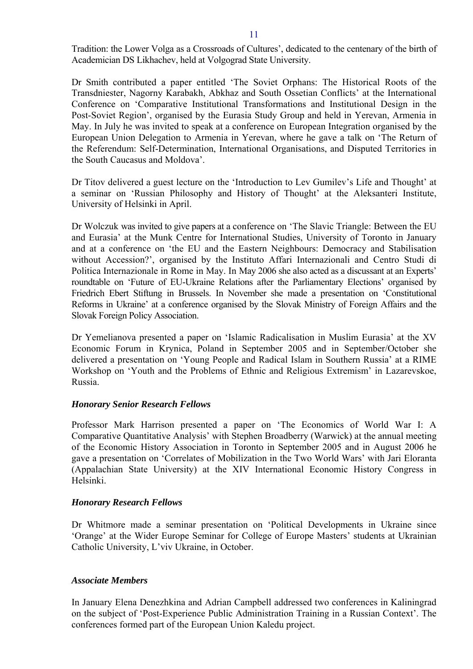Dr Smith contributed a paper entitled 'The Soviet Orphans: The Historical Roots of the Transdniester, Nagorny Karabakh, Abkhaz and South Ossetian Conflicts' at the International Conference on 'Comparative Institutional Transformations and Institutional Design in the Post-Soviet Region', organised by the Eurasia Study Group and held in Yerevan, Armenia in May. In July he was invited to speak at a conference on European Integration organised by the European Union Delegation to Armenia in Yerevan, where he gave a talk on 'The Return of the Referendum: Self-Determination, International Organisations, and Disputed Territories in the South Caucasus and Moldova'.

Dr Titov delivered a guest lecture on the 'Introduction to Lev Gumilev's Life and Thought' at a seminar on 'Russian Philosophy and History of Thought' at the Aleksanteri Institute, University of Helsinki in April.

Dr Wolczuk was invited to give papers at a conference on 'The Slavic Triangle: Between the EU and Eurasia' at the Munk Centre for International Studies, University of Toronto in January and at a conference on 'the EU and the Eastern Neighbours: Democracy and Stabilisation without Accession?', organised by the Instituto Affari Internazionali and Centro Studi di Politica Internazionale in Rome in May. In May 2006 she also acted as a discussant at an Experts' roundtable on 'Future of EU-Ukraine Relations after the Parliamentary Elections' organised by Friedrich Ebert Stiftung in Brussels. In November she made a presentation on 'Constitutional Reforms in Ukraine' at a conference organised by the Slovak Ministry of Foreign Affairs and the Slovak Foreign Policy Association.

Dr Yemelianova presented a paper on 'Islamic Radicalisation in Muslim Eurasia' at the XV Economic Forum in Krynica, Poland in September 2005 and in September/October she delivered a presentation on 'Young People and Radical Islam in Southern Russia' at a RIME Workshop on 'Youth and the Problems of Ethnic and Religious Extremism' in Lazarevskoe, Russia.

# *Honorary Senior Research Fellows*

Professor Mark Harrison presented a paper on 'The Economics of World War I: A Comparative Quantitative Analysis' with Stephen Broadberry (Warwick) at the annual meeting of the Economic History Association in Toronto in September 2005 and in August 2006 he gave a presentation on 'Correlates of Mobilization in the Two World Wars' with Jari Eloranta (Appalachian State University) at the XIV International Economic History Congress in Helsinki.

# *Honorary Research Fellows*

Dr Whitmore made a seminar presentation on 'Political Developments in Ukraine since 'Orange' at the Wider Europe Seminar for College of Europe Masters' students at Ukrainian Catholic University, L'viv Ukraine, in October.

# *Associate Members*

In January Elena Denezhkina and Adrian Campbell addressed two conferences in Kaliningrad on the subject of 'Post-Experience Public Administration Training in a Russian Context'. The conferences formed part of the European Union Kaledu project.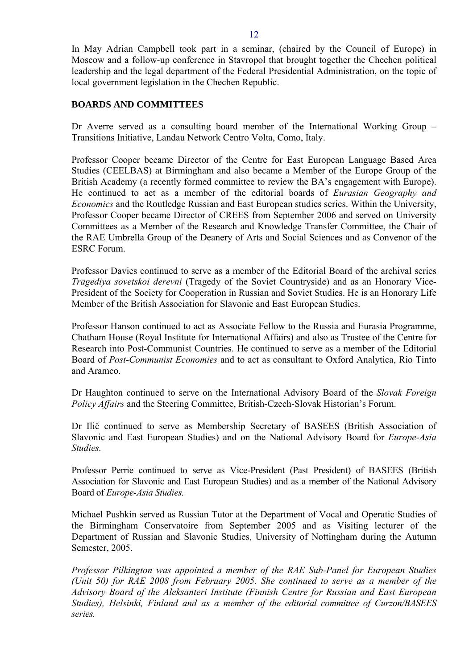<span id="page-11-0"></span>In May Adrian Campbell took part in a seminar, (chaired by the Council of Europe) in Moscow and a follow-up conference in Stavropol that brought together the Chechen political leadership and the legal department of the Federal Presidential Administration, on the topic of local government legislation in the Chechen Republic.

## **BOARDS AND COMMITTEES**

Dr Averre served as a consulting board member of the International Working Group – Transitions Initiative, Landau Network Centro Volta, Como, Italy.

Professor Cooper became Director of the Centre for East European Language Based Area Studies (CEELBAS) at Birmingham and also became a Member of the Europe Group of the British Academy (a recently formed committee to review the BA's engagement with Europe). He continued to act as a member of the editorial boards of *Eurasian Geography and Economics* and the Routledge Russian and East European studies series. Within the University, Professor Cooper became Director of CREES from September 2006 and served on University Committees as a Member of the Research and Knowledge Transfer Committee, the Chair of the RAE Umbrella Group of the Deanery of Arts and Social Sciences and as Convenor of the ESRC Forum.

Professor Davies continued to serve as a member of the Editorial Board of the archival series *Tragediya sovetskoi derevni* (Tragedy of the Soviet Countryside) and as an Honorary Vice-President of the Society for Cooperation in Russian and Soviet Studies. He is an Honorary Life Member of the British Association for Slavonic and East European Studies.

Professor Hanson continued to act as Associate Fellow to the Russia and Eurasia Programme, Chatham House (Royal Institute for International Affairs) and also as Trustee of the Centre for Research into Post-Communist Countries. He continued to serve as a member of the Editorial Board of *Post-Communist Economies* and to act as consultant to Oxford Analytica, Rio Tinto and Aramco.

Dr Haughton continued to serve on the International Advisory Board of the *Slovak Foreign Policy Affairs* and the Steering Committee, British-Czech-Slovak Historian's Forum.

Dr Ilič continued to serve as Membership Secretary of BASEES (British Association of Slavonic and East European Studies) and on the National Advisory Board for *Europe-Asia Studies.* 

Professor Perrie continued to serve as Vice-President (Past President) of BASEES (British Association for Slavonic and East European Studies) and as a member of the National Advisory Board of *Europe-Asia Studies.*

Michael Pushkin served as Russian Tutor at the Department of Vocal and Operatic Studies of the Birmingham Conservatoire from September 2005 and as Visiting lecturer of the Department of Russian and Slavonic Studies, University of Nottingham during the Autumn Semester, 2005.

*Professor Pilkington was appointed a member of the RAE Sub-Panel for European Studies (Unit 50) for RAE 2008 from February 2005. She continued to serve as a member of the Advisory Board of the Aleksanteri Institute (Finnish Centre for Russian and East European Studies), Helsinki, Finland and as a member of the editorial committee of Curzon/BASEES series.*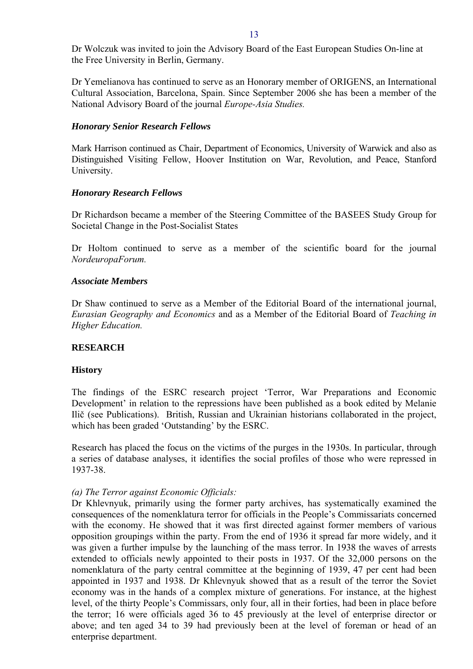<span id="page-12-0"></span>Dr Wolczuk was invited to join the Advisory Board of the East European Studies On-line at the Free University in Berlin, Germany.

Dr Yemelianova has continued to serve as an Honorary member of ORIGENS, an International Cultural Association, Barcelona, Spain. Since September 2006 she has been a member of the National Advisory Board of the journal *Europe-Asia Studies.* 

### *Honorary Senior Research Fellows*

Mark Harrison continued as Chair, Department of Economics, University of Warwick and also as Distinguished Visiting Fellow, Hoover Institution on War, Revolution, and Peace, Stanford University.

### *Honorary Research Fellows*

Dr Richardson became a member of the Steering Committee of the BASEES Study Group for Societal Change in the Post-Socialist States

Dr Holtom continued to serve as a member of the scientific board for the journal *NordeuropaForum.* 

### *Associate Members*

Dr Shaw continued to serve as a Member of the Editorial Board of the international journal, *Eurasian Geography and Economics* and as a Member of the Editorial Board of *Teaching in Higher Education.* 

## **RESEARCH**

### **History**

The findings of the ESRC research project 'Terror, War Preparations and Economic Development' in relation to the repressions have been published as a book edited by Melanie Ilič (see Publications). British, Russian and Ukrainian historians collaborated in the project, which has been graded 'Outstanding' by the ESRC.

Research has placed the focus on the victims of the purges in the 1930s. In particular, through a series of database analyses, it identifies the social profiles of those who were repressed in 1937-38.

### *(a) The Terror against Economic Officials:*

Dr Khlevnyuk, primarily using the former party archives, has systematically examined the consequences of the nomenklatura terror for officials in the People's Commissariats concerned with the economy. He showed that it was first directed against former members of various opposition groupings within the party. From the end of 1936 it spread far more widely, and it was given a further impulse by the launching of the mass terror. In 1938 the waves of arrests extended to officials newly appointed to their posts in 1937. Of the 32,000 persons on the nomenklatura of the party central committee at the beginning of 1939, 47 per cent had been appointed in 1937 and 1938. Dr Khlevnyuk showed that as a result of the terror the Soviet economy was in the hands of a complex mixture of generations. For instance, at the highest level, of the thirty People's Commissars, only four, all in their forties, had been in place before the terror; 16 were officials aged 36 to 45 previously at the level of enterprise director or above; and ten aged 34 to 39 had previously been at the level of foreman or head of an enterprise department.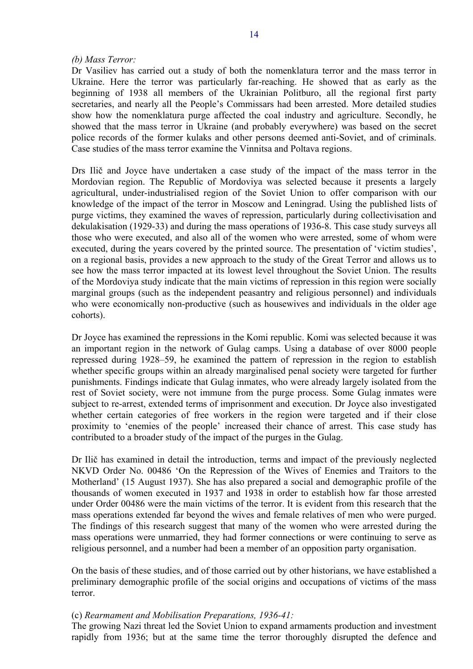#### *(b) Mass Terror:*

Dr Vasiliev has carried out a study of both the nomenklatura terror and the mass terror in Ukraine. Here the terror was particularly far-reaching. He showed that as early as the beginning of 1938 all members of the Ukrainian Politburo, all the regional first party secretaries, and nearly all the People's Commissars had been arrested. More detailed studies show how the nomenklatura purge affected the coal industry and agriculture. Secondly, he showed that the mass terror in Ukraine (and probably everywhere) was based on the secret police records of the former kulaks and other persons deemed anti-Soviet, and of criminals. Case studies of the mass terror examine the Vinnitsa and Poltava regions.

Drs Ilič and Joyce have undertaken a case study of the impact of the mass terror in the Mordovian region. The Republic of Mordoviya was selected because it presents a largely agricultural, under-industrialised region of the Soviet Union to offer comparison with our knowledge of the impact of the terror in Moscow and Leningrad. Using the published lists of purge victims, they examined the waves of repression, particularly during collectivisation and dekulakisation (1929-33) and during the mass operations of 1936-8. This case study surveys all those who were executed, and also all of the women who were arrested, some of whom were executed, during the years covered by the printed source. The presentation of 'victim studies', on a regional basis, provides a new approach to the study of the Great Terror and allows us to see how the mass terror impacted at its lowest level throughout the Soviet Union. The results of the Mordoviya study indicate that the main victims of repression in this region were socially marginal groups (such as the independent peasantry and religious personnel) and individuals who were economically non-productive (such as housewives and individuals in the older age cohorts).

Dr Joyce has examined the repressions in the Komi republic. Komi was selected because it was an important region in the network of Gulag camps. Using a database of over 8000 people repressed during 1928–59, he examined the pattern of repression in the region to establish whether specific groups within an already marginalised penal society were targeted for further punishments. Findings indicate that Gulag inmates, who were already largely isolated from the rest of Soviet society, were not immune from the purge process. Some Gulag inmates were subject to re-arrest, extended terms of imprisonment and execution. Dr Joyce also investigated whether certain categories of free workers in the region were targeted and if their close proximity to 'enemies of the people' increased their chance of arrest. This case study has contributed to a broader study of the impact of the purges in the Gulag.

Dr Ilič has examined in detail the introduction, terms and impact of the previously neglected NKVD Order No. 00486 'On the Repression of the Wives of Enemies and Traitors to the Motherland' (15 August 1937). She has also prepared a social and demographic profile of the thousands of women executed in 1937 and 1938 in order to establish how far those arrested under Order 00486 were the main victims of the terror. It is evident from this research that the mass operations extended far beyond the wives and female relatives of men who were purged. The findings of this research suggest that many of the women who were arrested during the mass operations were unmarried, they had former connections or were continuing to serve as religious personnel, and a number had been a member of an opposition party organisation.

On the basis of these studies, and of those carried out by other historians, we have established a preliminary demographic profile of the social origins and occupations of victims of the mass terror.

### (c) *Rearmament and Mobilisation Preparations, 1936-41:*

The growing Nazi threat led the Soviet Union to expand armaments production and investment rapidly from 1936; but at the same time the terror thoroughly disrupted the defence and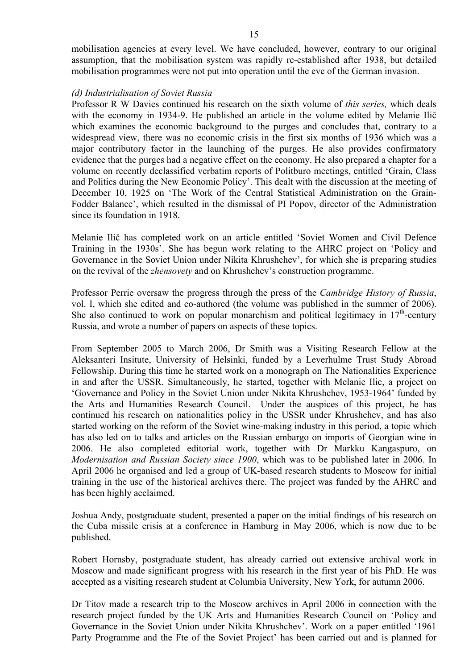mobilisation agencies at every level. We have concluded, however, contrary to our original assumption, that the mobilisation system was rapidly re-established after 1938, but detailed mobilisation programmes were not put into operation until the eve of the German invasion.

#### *(d) Industrialisation of Soviet Russia*

Professor R W Davies continued his research on the sixth volume of *this series,* which deals with the economy in 1934-9. He published an article in the volume edited by Melanie Ilič which examines the economic background to the purges and concludes that, contrary to a widespread view, there was no economic crisis in the first six months of 1936 which was a major contributory factor in the launching of the purges. He also provides confirmatory evidence that the purges had a negative effect on the economy. He also prepared a chapter for a volume on recently declassified verbatim reports of Politburo meetings, entitled 'Grain, Class and Politics during the New Economic Policy'. This dealt with the discussion at the meeting of December 10, 1925 on 'The Work of the Central Statistical Administration on the Grain-Fodder Balance', which resulted in the dismissal of PI Popov, director of the Administration since its foundation in 1918.

Melanie Ilič has completed work on an article entitled 'Soviet Women and Civil Defence Training in the 1930s'. She has begun work relating to the AHRC project on 'Policy and Governance in the Soviet Union under Nikita Khrushchev', for which she is preparing studies on the revival of the *zhensovety* and on Khrushchev's construction programme.

Professor Perrie oversaw the progress through the press of the *Cambridge History of Russia*, vol. I, which she edited and co-authored (the volume was published in the summer of 2006). She also continued to work on popular monarchism and political legitimacy in  $17<sup>th</sup>$ -century Russia, and wrote a number of papers on aspects of these topics.

From September 2005 to March 2006, Dr Smith was a Visiting Research Fellow at the Aleksanteri Insitute, University of Helsinki, funded by a Leverhulme Trust Study Abroad Fellowship. During this time he started work on a monograph on The Nationalities Experience in and after the USSR. Simultaneously, he started, together with Melanie Ilic, a project on 'Governance and Policy in the Soviet Union under Nikita Khrushchev, 1953-1964' funded by the Arts and Humanities Research Council. Under the auspices of this project, he has continued his research on nationalities policy in the USSR under Khrushchev, and has also started working on the reform of the Soviet wine-making industry in this period, a topic which has also led on to talks and articles on the Russian embargo on imports of Georgian wine in 2006. He also completed editorial work, together with Dr Markku Kangaspuro, on *Modernisation and Russian Society since 1900*, which was to be published later in 2006. In April 2006 he organised and led a group of UK-based research students to Moscow for initial training in the use of the historical archives there. The project was funded by the AHRC and has been highly acclaimed.

Joshua Andy, postgraduate student, presented a paper on the initial findings of his research on the Cuba missile crisis at a conference in Hamburg in May 2006, which is now due to be published.

Robert Hornsby, postgraduate student, has already carried out extensive archival work in Moscow and made significant progress with his research in the first year of his PhD. He was accepted as a visiting research student at Columbia University, New York, for autumn 2006.

Dr Titov made a research trip to the Moscow archives in April 2006 in connection with the research project funded by the UK Arts and Humanities Research Council on 'Policy and Governance in the Soviet Union under Nikita Khrushchev'. Work on a paper entitled '1961 Party Programme and the Fte of the Soviet Project' has been carried out and is planned for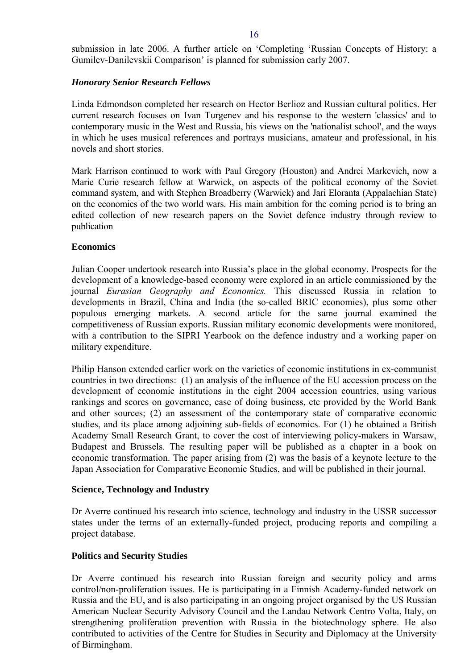<span id="page-15-0"></span>submission in late 2006. A further article on 'Completing 'Russian Concepts of History: a Gumilev-Danilevskii Comparison' is planned for submission early 2007.

## *Honorary Senior Research Fellows*

Linda Edmondson completed her research on Hector Berlioz and Russian cultural politics. Her current research focuses on Ivan Turgenev and his response to the western 'classics' and to contemporary music in the West and Russia, his views on the 'nationalist school', and the ways in which he uses musical references and portrays musicians, amateur and professional, in his novels and short stories.

Mark Harrison continued to work with Paul Gregory (Houston) and Andrei Markevich, now a Marie Curie research fellow at Warwick, on aspects of the political economy of the Soviet command system, and with Stephen Broadberry (Warwick) and Jari Eloranta (Appalachian State) on the economics of the two world wars. His main ambition for the coming period is to bring an edited collection of new research papers on the Soviet defence industry through review to publication

## **Economics**

Julian Cooper undertook research into Russia's place in the global economy. Prospects for the development of a knowledge-based economy were explored in an article commissioned by the journal *Eurasian Geography and Economics.* This discussed Russia in relation to developments in Brazil, China and India (the so-called BRIC economies), plus some other populous emerging markets. A second article for the same journal examined the competitiveness of Russian exports. Russian military economic developments were monitored, with a contribution to the SIPRI Yearbook on the defence industry and a working paper on military expenditure.

Philip Hanson extended earlier work on the varieties of economic institutions in ex-communist countries in two directions: (1) an analysis of the influence of the EU accession process on the development of economic institutions in the eight 2004 accession countries, using various rankings and scores on governance, ease of doing business, etc provided by the World Bank and other sources; (2) an assessment of the contemporary state of comparative economic studies, and its place among adjoining sub-fields of economics. For (1) he obtained a British Academy Small Research Grant, to cover the cost of interviewing policy-makers in Warsaw, Budapest and Brussels. The resulting paper will be published as a chapter in a book on economic transformation. The paper arising from (2) was the basis of a keynote lecture to the Japan Association for Comparative Economic Studies, and will be published in their journal.

## **Science, Technology and Industry**

Dr Averre continued his research into science, technology and industry in the USSR successor states under the terms of an externally-funded project, producing reports and compiling a project database.

## **Politics and Security Studies**

Dr Averre continued his research into Russian foreign and security policy and arms control/non-proliferation issues. He is participating in a Finnish Academy-funded network on Russia and the EU, and is also participating in an ongoing project organised by the US Russian American Nuclear Security Advisory Council and the Landau Network Centro Volta, Italy, on strengthening proliferation prevention with Russia in the biotechnology sphere. He also contributed to activities of the Centre for Studies in Security and Diplomacy at the University of Birmingham.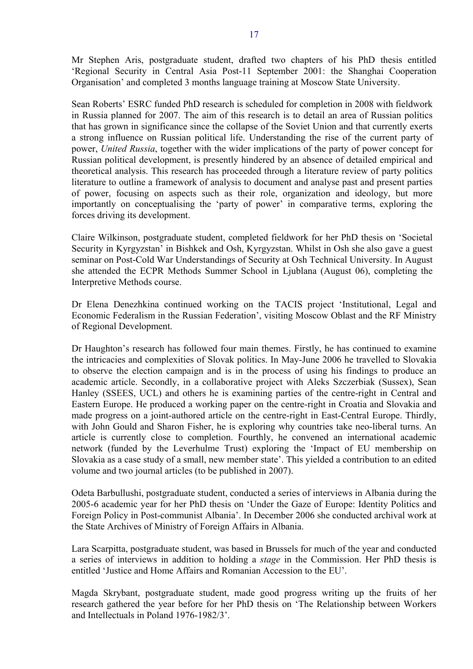Mr Stephen Aris, postgraduate student, drafted two chapters of his PhD thesis entitled 'Regional Security in Central Asia Post-11 September 2001: the Shanghai Cooperation Organisation' and completed 3 months language training at Moscow State University.

Sean Roberts' ESRC funded PhD research is scheduled for completion in 2008 with fieldwork in Russia planned for 2007. The aim of this research is to detail an area of Russian politics that has grown in significance since the collapse of the Soviet Union and that currently exerts a strong influence on Russian political life. Understanding the rise of the current party of power, *United Russia*, together with the wider implications of the party of power concept for Russian political development, is presently hindered by an absence of detailed empirical and theoretical analysis. This research has proceeded through a literature review of party politics literature to outline a framework of analysis to document and analyse past and present parties of power, focusing on aspects such as their role, organization and ideology, but more importantly on conceptualising the 'party of power' in comparative terms, exploring the forces driving its development.

Claire Wilkinson, postgraduate student, completed fieldwork for her PhD thesis on 'Societal Security in Kyrgyzstan' in Bishkek and Osh, Kyrgyzstan. Whilst in Osh she also gave a guest seminar on Post-Cold War Understandings of Security at Osh Technical University. In August she attended the ECPR Methods Summer School in Ljublana (August 06), completing the Interpretive Methods course.

Dr Elena Denezhkina continued working on the TACIS project 'Institutional, Legal and Economic Federalism in the Russian Federation', visiting Moscow Oblast and the RF Ministry of Regional Development.

Dr Haughton's research has followed four main themes. Firstly, he has continued to examine the intricacies and complexities of Slovak politics. In May-June 2006 he travelled to Slovakia to observe the election campaign and is in the process of using his findings to produce an academic article. Secondly, in a collaborative project with Aleks Szczerbiak (Sussex), Sean Hanley (SSEES, UCL) and others he is examining parties of the centre-right in Central and Eastern Europe. He produced a working paper on the centre-right in Croatia and Slovakia and made progress on a joint-authored article on the centre-right in East-Central Europe. Thirdly, with John Gould and Sharon Fisher, he is exploring why countries take neo-liberal turns. An article is currently close to completion. Fourthly, he convened an international academic network (funded by the Leverhulme Trust) exploring the 'Impact of EU membership on Slovakia as a case study of a small, new member state'. This yielded a contribution to an edited volume and two journal articles (to be published in 2007).

Odeta Barbullushi, postgraduate student, conducted a series of interviews in Albania during the 2005-6 academic year for her PhD thesis on 'Under the Gaze of Europe: Identity Politics and Foreign Policy in Post-communist Albania'. In December 2006 she conducted archival work at the State Archives of Ministry of Foreign Affairs in Albania.

Lara Scarpitta, postgraduate student, was based in Brussels for much of the year and conducted a series of interviews in addition to holding a *stage* in the Commission. Her PhD thesis is entitled 'Justice and Home Affairs and Romanian Accession to the EU'.

Magda Skrybant, postgraduate student, made good progress writing up the fruits of her research gathered the year before for her PhD thesis on 'The Relationship between Workers and Intellectuals in Poland 1976-1982/3'.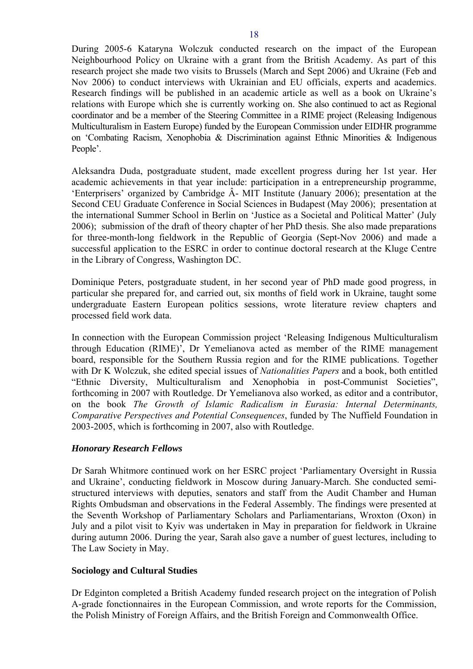<span id="page-17-0"></span>During 2005-6 Kataryna Wolczuk conducted research on the impact of the European Neighbourhood Policy on Ukraine with a grant from the British Academy. As part of this research project she made two visits to Brussels (March and Sept 2006) and Ukraine (Feb and Nov 2006) to conduct interviews with Ukrainian and EU officials, experts and academics. Research findings will be published in an academic article as well as a book on Ukraine's relations with Europe which she is currently working on. She also continued to act as Regional coordinator and be a member of the Steering Committee in a RIME project (Releasing Indigenous Multiculturalism in Eastern Europe) funded by the European Commission under EIDHR programme on 'Combating Racism, Xenophobia & Discrimination against Ethnic Minorities & Indigenous People'.

Aleksandra Duda, postgraduate student, made excellent progress during her 1st year. Her academic achievements in that year include: participation in a entrepreneurship programme, 'Enterprisers' organized by Cambridge Â- MIT Institute (January 2006); presentation at the Second CEU Graduate Conference in Social Sciences in Budapest (May 2006); presentation at the international Summer School in Berlin on 'Justice as a Societal and Political Matter' (July 2006); submission of the draft of theory chapter of her PhD thesis. She also made preparations for three-month-long fieldwork in the Republic of Georgia (Sept-Nov 2006) and made a successful application to the ESRC in order to continue doctoral research at the Kluge Centre in the Library of Congress, Washington DC.

Dominique Peters, postgraduate student, in her second year of PhD made good progress, in particular she prepared for, and carried out, six months of field work in Ukraine, taught some undergraduate Eastern European politics sessions, wrote literature review chapters and processed field work data.

In connection with the European Commission project 'Releasing Indigenous Multiculturalism through Education (RIME)', Dr Yemelianova acted as member of the RIME management board, responsible for the Southern Russia region and for the RIME publications. Together with Dr K Wolczuk, she edited special issues of *Nationalities Papers* and a book, both entitled "Ethnic Diversity, Multiculturalism and Xenophobia in post-Communist Societies", forthcoming in 2007 with Routledge. Dr Yemelianova also worked, as editor and a contributor, on the book *The Growth of Islamic Radicalism in Eurasia: Internal Determinants, Comparative Perspectives and Potential Consequences*, funded by The Nuffield Foundation in 2003-2005, which is forthcoming in 2007, also with Routledge.

## *Honorary Research Fellows*

Dr Sarah Whitmore continued work on her ESRC project 'Parliamentary Oversight in Russia and Ukraine', conducting fieldwork in Moscow during January-March. She conducted semistructured interviews with deputies, senators and staff from the Audit Chamber and Human Rights Ombudsman and observations in the Federal Assembly. The findings were presented at the Seventh Workshop of Parliamentary Scholars and Parliamentarians, Wroxton (Oxon) in July and a pilot visit to Kyiv was undertaken in May in preparation for fieldwork in Ukraine during autumn 2006. During the year, Sarah also gave a number of guest lectures, including to The Law Society in May.

# **Sociology and Cultural Studies**

Dr Edginton completed a British Academy funded research project on the integration of Polish A-grade fonctionnaires in the European Commission, and wrote reports for the Commission, the Polish Ministry of Foreign Affairs, and the British Foreign and Commonwealth Office.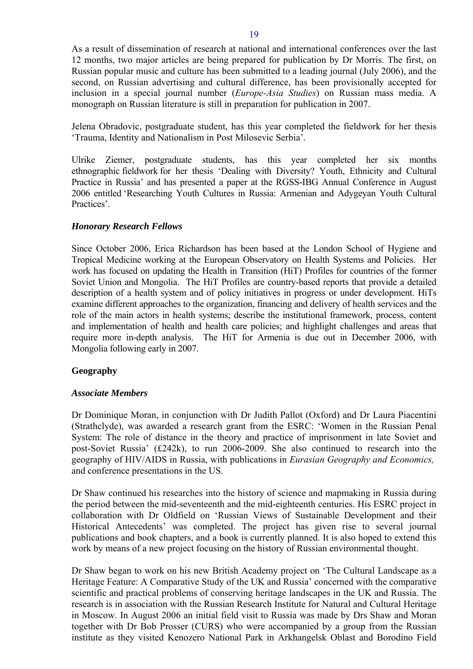<span id="page-18-0"></span>As a result of dissemination of research at national and international conferences over the last 12 months, two major articles are being prepared for publication by Dr Morris. The first, on Russian popular music and culture has been submitted to a leading journal (July 2006), and the second, on Russian advertising and cultural difference, has been provisionally accepted for inclusion in a special journal number (*Europe-Asia Studies*) on Russian mass media. A monograph on Russian literature is still in preparation for publication in 2007.

Jelena Obradovic, postgraduate student, has this year completed the fieldwork for her thesis 'Trauma, Identity and Nationalism in Post Milosevic Serbia'.

Ulrike Ziemer, postgraduate students, has this year completed her six months ethnographic fieldwork for her thesis 'Dealing with Diversity? Youth, Ethnicity and Cultural Practice in Russia' and has presented a paper at the RGSS-IBG Annual Conference in August 2006 entitled 'Researching Youth Cultures in Russia: Armenian and Adygeyan Youth Cultural Practices'.

## *Honorary Research Fellows*

Since October 2006, Erica Richardson has been based at the London School of Hygiene and Tropical Medicine working at the European Observatory on Health Systems and Policies. Her work has focused on updating the Health in Transition (HiT) Profiles for countries of the former Soviet Union and Mongolia. The HiT Profiles are country-based reports that provide a detailed description of a health system and of policy initiatives in progress or under development. HiTs examine different approaches to the organization, financing and delivery of health services and the role of the main actors in health systems; describe the institutional framework, process, content and implementation of health and health care policies; and highlight challenges and areas that require more in-depth analysis. The HiT for Armenia is due out in December 2006, with Mongolia following early in 2007.

## **Geography**

### *Associate Members*

Dr Dominique Moran, in conjunction with Dr Judith Pallot (Oxford) and Dr Laura Piacentini (Strathclyde), was awarded a research grant from the ESRC: 'Women in the Russian Penal System: The role of distance in the theory and practice of imprisonment in late Soviet and post-Soviet Russia' (£242k), to run 2006-2009. She also continued to research into the geography of HIV/AIDS in Russia, with publications in *Eurasian Geography and Economics,* and conference presentations in the US.

Dr Shaw continued his researches into the history of science and mapmaking in Russia during the period between the mid-seventeenth and the mid-eighteenth centuries. His ESRC project in collaboration with Dr Oldfield on 'Russian Views of Sustainable Development and their Historical Antecedents' was completed. The project has given rise to several journal publications and book chapters, and a book is currently planned. It is also hoped to extend this work by means of a new project focusing on the history of Russian environmental thought.

Dr Shaw began to work on his new British Academy project on 'The Cultural Landscape as a Heritage Feature: A Comparative Study of the UK and Russia' concerned with the comparative scientific and practical problems of conserving heritage landscapes in the UK and Russia. The research is in association with the Russian Research Institute for Natural and Cultural Heritage in Moscow. In August 2006 an initial field visit to Russia was made by Drs Shaw and Moran together with Dr Bob Prosser (CURS) who were accompanied by a group from the Russian institute as they visited Kenozero National Park in Arkhangelsk Oblast and Borodino Field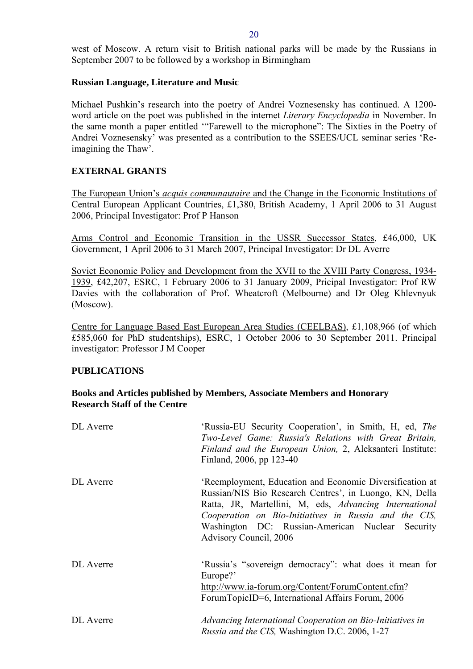<span id="page-19-0"></span>west of Moscow. A return visit to British national parks will be made by the Russians in September 2007 to be followed by a workshop in Birmingham

## **Russian Language, Literature and Music**

Michael Pushkin's research into the poetry of Andrei Voznesensky has continued. A 1200 word article on the poet was published in the internet *Literary Encyclopedia* in November. In the same month a paper entitled '"Farewell to the microphone": The Sixties in the Poetry of Andrei Voznesensky' was presented as a contribution to the SSEES/UCL seminar series 'Reimagining the Thaw'.

## **EXTERNAL GRANTS**

The European Union's *acquis communautaire* and the Change in the Economic Institutions of Central European Applicant Countries, £1,380, British Academy, 1 April 2006 to 31 August 2006, Principal Investigator: Prof P Hanson

Arms Control and Economic Transition in the USSR Successor States, £46,000, UK Government, 1 April 2006 to 31 March 2007, Principal Investigator: Dr DL Averre

Soviet Economic Policy and Development from the XVII to the XVIII Party Congress, 1934- 1939, £42,207, ESRC, 1 February 2006 to 31 January 2009, Pricipal Investigator: Prof RW Davies with the collaboration of Prof. Wheatcroft (Melbourne) and Dr Oleg Khlevnyuk (Moscow).

Centre for Language Based East European Area Studies (CEELBAS), £1,108,966 (of which £585,060 for PhD studentships), ESRC, 1 October 2006 to 30 September 2011. Principal investigator: Professor J M Cooper

## **PUBLICATIONS**

# **Books and Articles published by Members, Associate Members and Honorary Research Staff of the Centre**

| DL Averre | 'Russia-EU Security Cooperation', in Smith, H, ed, The<br>Two-Level Game: Russia's Relations with Great Britain,<br>Finland and the European Union, 2, Aleksanteri Institute:<br>Finland, 2006, pp 123-40                                                                                                            |
|-----------|----------------------------------------------------------------------------------------------------------------------------------------------------------------------------------------------------------------------------------------------------------------------------------------------------------------------|
| DL Averre | 'Reemployment, Education and Economic Diversification at<br>Russian/NIS Bio Research Centres', in Luongo, KN, Della<br>Ratta, JR, Martellini, M, eds, Advancing International<br>Cooperation on Bio-Initiatives in Russia and the CIS,<br>Washington DC: Russian-American Nuclear Security<br>Advisory Council, 2006 |
| DL Averre | 'Russia's "sovereign democracy": what does it mean for<br>Europe?'<br>http://www.ia-forum.org/Content/ForumContent.cfm?<br>ForumTopicID=6, International Affairs Forum, 2006                                                                                                                                         |
| DL Averre | Advancing International Cooperation on Bio-Initiatives in<br><i>Russia and the CIS, Washington D.C. 2006, 1-27</i>                                                                                                                                                                                                   |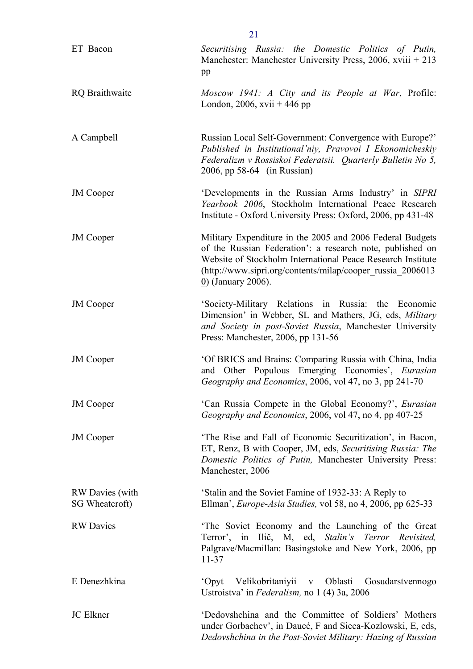| ET Bacon                          | Securitising Russia: the Domestic Politics of Putin,<br>Manchester: Manchester University Press, $2006$ , xviii + 213<br>pp                                                                                                                                                            |
|-----------------------------------|----------------------------------------------------------------------------------------------------------------------------------------------------------------------------------------------------------------------------------------------------------------------------------------|
| <b>RQ</b> Braithwaite             | Moscow 1941: A City and its People at War, Profile:<br>London, 2006, xvii + 446 pp                                                                                                                                                                                                     |
| A Campbell                        | Russian Local Self-Government: Convergence with Europe?'<br>Published in Institutional'niy, Pravovoi I Ekonomicheskiy<br>Federalizm v Rossiskoi Federatsii. Quarterly Bulletin No 5,<br>2006, pp 58-64 (in Russian)                                                                    |
| <b>JM</b> Cooper                  | 'Developments in the Russian Arms Industry' in SIPRI<br>Yearbook 2006, Stockholm International Peace Research<br>Institute - Oxford University Press: Oxford, 2006, pp 431-48                                                                                                          |
| <b>JM</b> Cooper                  | Military Expenditure in the 2005 and 2006 Federal Budgets<br>of the Russian Federation': a research note, published on<br>Website of Stockholm International Peace Research Institute<br>(http://www.sipri.org/contents/milap/cooper_russia_2006013<br>$\underline{0}$ (January 2006). |
| <b>JM</b> Cooper                  | 'Society-Military Relations in Russia: the Economic<br>Dimension' in Webber, SL and Mathers, JG, eds, Military<br>and Society in post-Soviet Russia, Manchester University<br>Press: Manchester, 2006, pp 131-56                                                                       |
| <b>JM</b> Cooper                  | 'Of BRICS and Brains: Comparing Russia with China, India<br>and Other Populous Emerging Economies', Eurasian<br>Geography and Economics, 2006, vol 47, no 3, pp 241-70                                                                                                                 |
| <b>JM</b> Cooper                  | 'Can Russia Compete in the Global Economy?', <i>Eurasian</i><br>Geography and Economics, 2006, vol 47, no 4, pp 407-25                                                                                                                                                                 |
| <b>JM</b> Cooper                  | 'The Rise and Fall of Economic Securitization', in Bacon,<br>ET, Renz, B with Cooper, JM, eds, Securitising Russia: The<br>Domestic Politics of Putin, Manchester University Press:<br>Manchester, 2006                                                                                |
| RW Davies (with<br>SG Wheatcroft) | 'Stalin and the Soviet Famine of 1932-33: A Reply to<br>Ellman', <i>Europe-Asia Studies</i> , vol 58, no 4, 2006, pp 625-33                                                                                                                                                            |
| <b>RW</b> Davies                  | The Soviet Economy and the Launching of the Great<br>Terror', in Ilič, M, ed, Stalin's Terror Revisited,<br>Palgrave/Macmillan: Basingstoke and New York, 2006, pp<br>$11 - 37$                                                                                                        |
| E Denezhkina                      | 'Opyt Velikobritaniyii v Oblasti<br>Gosudarstvennogo<br>Ustroistva' in Federalism, no 1 (4) 3a, 2006                                                                                                                                                                                   |
| <b>JC</b> Elkner                  | 'Dedovshchina and the Committee of Soldiers' Mothers<br>under Gorbachev', in Daucé, F and Sieca-Kozlowski, E, eds,<br>Dedovshchina in the Post-Soviet Military: Hazing of Russian                                                                                                      |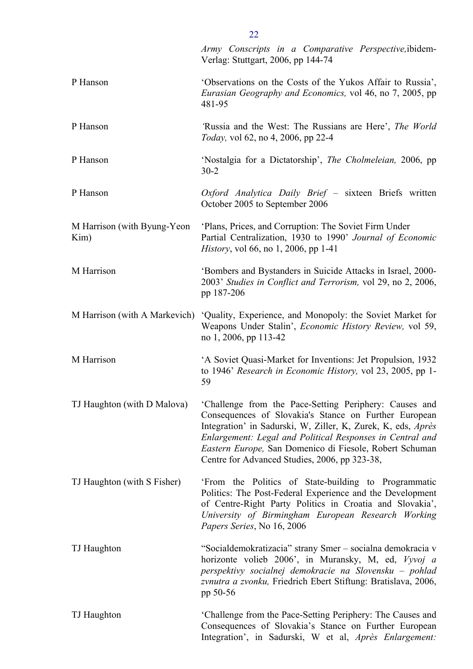|                                     | Army Conscripts in a Comparative Perspective, ibidem-<br>Verlag: Stuttgart, 2006, pp 144-74                                                                                                                                                                                                                                                              |
|-------------------------------------|----------------------------------------------------------------------------------------------------------------------------------------------------------------------------------------------------------------------------------------------------------------------------------------------------------------------------------------------------------|
| P Hanson                            | 'Observations on the Costs of the Yukos Affair to Russia',<br><i>Eurasian Geography and Economics, vol 46, no 7, 2005, pp</i><br>481-95                                                                                                                                                                                                                  |
| P Hanson                            | Russia and the West: The Russians are Here', The World<br><i>Today</i> , vol 62, no 4, 2006, pp 22-4                                                                                                                                                                                                                                                     |
| P Hanson                            | 'Nostalgia for a Dictatorship', <i>The Cholmeleian</i> , 2006, pp<br>$30 - 2$                                                                                                                                                                                                                                                                            |
| P Hanson                            | Oxford Analytica Daily Brief - sixteen Briefs written<br>October 2005 to September 2006                                                                                                                                                                                                                                                                  |
| M Harrison (with Byung-Yeon<br>Kim) | 'Plans, Prices, and Corruption: The Soviet Firm Under<br>Partial Centralization, 1930 to 1990' Journal of Economic<br><i>History</i> , vol 66, no 1, 2006, pp 1-41                                                                                                                                                                                       |
| M Harrison                          | 'Bombers and Bystanders in Suicide Attacks in Israel, 2000-<br>2003' Studies in Conflict and Terrorism, vol 29, no 2, 2006,<br>pp 187-206                                                                                                                                                                                                                |
| M Harrison (with A Markevich)       | 'Quality, Experience, and Monopoly: the Soviet Market for<br>Weapons Under Stalin', <i>Economic History Review</i> , vol 59,<br>no 1, 2006, pp 113-42                                                                                                                                                                                                    |
| M Harrison                          | 'A Soviet Quasi-Market for Inventions: Jet Propulsion, 1932<br>to 1946' Research in Economic History, vol 23, 2005, pp 1-<br>59                                                                                                                                                                                                                          |
| TJ Haughton (with D Malova)         | 'Challenge from the Pace-Setting Periphery: Causes and<br>Consequences of Slovakia's Stance on Further European<br>Integration' in Sadurski, W, Ziller, K, Zurek, K, eds, Après<br>Enlargement: Legal and Political Responses in Central and<br>Eastern Europe, San Domenico di Fiesole, Robert Schuman<br>Centre for Advanced Studies, 2006, pp 323-38, |
| TJ Haughton (with S Fisher)         | 'From the Politics of State-building to Programmatic<br>Politics: The Post-Federal Experience and the Development<br>of Centre-Right Party Politics in Croatia and Slovakia',<br>University of Birmingham European Research Working<br>Papers Series, No 16, 2006                                                                                        |
| TJ Haughton                         | "Socialdemokratizacia" strany Smer – socialna demokracia v<br>horizonte volieb 2006', in Muransky, M, ed, Vyvoj a<br>perspektivy socialnej demokracie na Slovensku – pohlad<br>zvnutra a zvonku, Friedrich Ebert Stiftung: Bratislava, 2006,<br>pp 50-56                                                                                                 |
| TJ Haughton                         | 'Challenge from the Pace-Setting Periphery: The Causes and<br>Consequences of Slovakia's Stance on Further European<br>Integration', in Sadurski, W et al, Après Enlargement:                                                                                                                                                                            |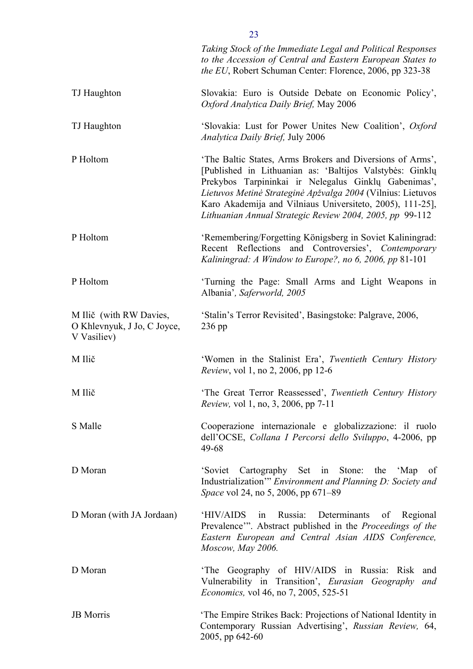|                                                                       | Taking Stock of the Immediate Legal and Political Responses<br>to the Accession of Central and Eastern European States to<br>the EU, Robert Schuman Center: Florence, 2006, pp 323-38                                                                                                                                                                                 |
|-----------------------------------------------------------------------|-----------------------------------------------------------------------------------------------------------------------------------------------------------------------------------------------------------------------------------------------------------------------------------------------------------------------------------------------------------------------|
| TJ Haughton                                                           | Slovakia: Euro is Outside Debate on Economic Policy',<br>Oxford Analytica Daily Brief, May 2006                                                                                                                                                                                                                                                                       |
| TJ Haughton                                                           | 'Slovakia: Lust for Power Unites New Coalition', Oxford<br><b>Analytica Daily Brief, July 2006</b>                                                                                                                                                                                                                                                                    |
| P Holtom                                                              | 'The Baltic States, Arms Brokers and Diversions of Arms',<br>[Published in Lithuanian as: 'Baltijos Valstybės: Ginklų<br>Prekybos Tarpininkai ir Nelegalus Ginklų Gabenimas',<br>Lietuvos Metinė Strateginė Apžvalga 2004 (Vilnius: Lietuvos<br>Karo Akademija and Vilniaus Universiteto, 2005), 111-25],<br>Lithuanian Annual Strategic Review 2004, 2005, pp 99-112 |
| P Holtom                                                              | 'Remembering/Forgetting Königsberg in Soviet Kaliningrad:<br>Recent Reflections and Controversies', Contemporary<br>Kaliningrad: A Window to Europe?, no 6, 2006, pp 81-101                                                                                                                                                                                           |
| P Holtom                                                              | Turning the Page: Small Arms and Light Weapons in<br>Albania', Saferworld, 2005                                                                                                                                                                                                                                                                                       |
| M Ilič (with RW Davies,<br>O Khlevnyuk, J Jo, C Joyce,<br>V Vasiliev) | 'Stalin's Terror Revisited', Basingstoke: Palgrave, 2006,<br>$236$ pp                                                                                                                                                                                                                                                                                                 |
| M Ilič                                                                | 'Women in the Stalinist Era', Twentieth Century History<br><i>Review</i> , vol 1, no 2, 2006, pp 12-6                                                                                                                                                                                                                                                                 |
| M Ilič                                                                | 'The Great Terror Reassessed', Twentieth Century History<br><i>Review</i> , vol 1, no, 3, 2006, pp 7-11                                                                                                                                                                                                                                                               |
| S Malle                                                               | Cooperazione internazionale e globalizzazione: il ruolo<br>dell'OCSE, Collana I Percorsi dello Sviluppo, 4-2006, pp<br>49-68                                                                                                                                                                                                                                          |
| D Moran                                                               | 'Soviet Cartography Set in Stone:<br>the 'Map<br>of<br>Industrialization" Environment and Planning D: Society and<br>Space vol 24, no 5, 2006, pp 671-89                                                                                                                                                                                                              |
| D Moran (with JA Jordaan)                                             | 'HIV/AIDS<br>Russia:<br>Determinants<br>Regional<br>in<br>of<br>Prevalence". Abstract published in the Proceedings of the<br>Eastern European and Central Asian AIDS Conference,<br>Moscow, May 2006.                                                                                                                                                                 |
| D Moran                                                               | The Geography of HIV/AIDS in Russia: Risk<br>and<br>Vulnerability in Transition', Eurasian Geography<br>and<br><i>Economics</i> , vol 46, no 7, 2005, 525-51                                                                                                                                                                                                          |
| <b>JB</b> Morris                                                      | 'The Empire Strikes Back: Projections of National Identity in<br>Contemporary Russian Advertising', Russian Review, 64,<br>2005, pp 642-60                                                                                                                                                                                                                            |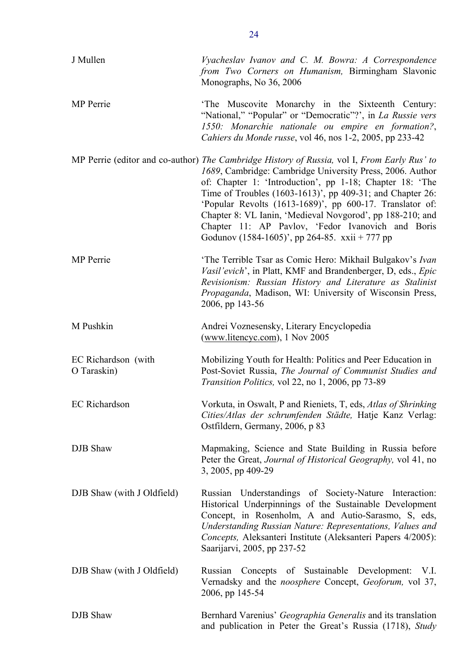| J Mullen                           | Vyacheslav Ivanov and C. M. Bowra: A Correspondence<br>from Two Corners on Humanism, Birmingham Slavonic<br>Monographs, No 36, 2006                                                                                                                                                                                                                                                                                                                                                                               |
|------------------------------------|-------------------------------------------------------------------------------------------------------------------------------------------------------------------------------------------------------------------------------------------------------------------------------------------------------------------------------------------------------------------------------------------------------------------------------------------------------------------------------------------------------------------|
| <b>MP</b> Perrie                   | The Muscovite Monarchy in the Sixteenth Century:<br>"National," "Popular" or "Democratic"?", in La Russie vers<br>1550: Monarchie nationale ou empire en formation?,<br>Cahiers du Monde russe, vol 46, nos 1-2, 2005, pp 233-42                                                                                                                                                                                                                                                                                  |
|                                    | MP Perrie (editor and co-author) The Cambridge History of Russia, vol I, From Early Rus' to<br>1689, Cambridge: Cambridge University Press, 2006. Author<br>of: Chapter 1: 'Introduction', pp 1-18; Chapter 18: 'The<br>Time of Troubles (1603-1613)', pp 409-31; and Chapter 26:<br>'Popular Revolts (1613-1689)', pp 600-17. Translator of:<br>Chapter 8: VL Ianin, 'Medieval Novgorod', pp 188-210; and<br>Chapter 11: AP Pavlov, 'Fedor Ivanovich and Boris<br>Godunov (1584-1605)', pp 264-85. xxii + 777 pp |
| <b>MP</b> Perrie                   | 'The Terrible Tsar as Comic Hero: Mikhail Bulgakov's Ivan<br>Vasil'evich', in Platt, KMF and Brandenberger, D, eds., Epic<br>Revisionism: Russian History and Literature as Stalinist<br>Propaganda, Madison, WI: University of Wisconsin Press,<br>2006, pp 143-56                                                                                                                                                                                                                                               |
| M Pushkin                          | Andrei Voznesensky, Literary Encyclopedia<br>(www.litencyc.com), 1 Nov 2005                                                                                                                                                                                                                                                                                                                                                                                                                                       |
| EC Richardson (with<br>O Taraskin) | Mobilizing Youth for Health: Politics and Peer Education in<br>Post-Soviet Russia, The Journal of Communist Studies and<br>Transition Politics, vol 22, no 1, 2006, pp 73-89                                                                                                                                                                                                                                                                                                                                      |
| <b>EC</b> Richardson               | Vorkuta, in Oswalt, P and Rieniets, T, eds, Atlas of Shrinking<br>Cities/Atlas der schrumfenden Städte, Hatje Kanz Verlag:<br>Ostfildern, Germany, 2006, p 83                                                                                                                                                                                                                                                                                                                                                     |
| DJB Shaw                           | Mapmaking, Science and State Building in Russia before<br>Peter the Great, Journal of Historical Geography, vol 41, no<br>3, 2005, pp 409-29                                                                                                                                                                                                                                                                                                                                                                      |
| DJB Shaw (with J Oldfield)         | Russian Understandings of Society-Nature Interaction:<br>Historical Underpinnings of the Sustainable Development<br>Concept, in Rosenholm, A and Autio-Sarasmo, S, eds,<br>Understanding Russian Nature: Representations, Values and<br>Concepts, Aleksanteri Institute (Aleksanteri Papers 4/2005):<br>Saarijarvi, 2005, pp 237-52                                                                                                                                                                               |
| DJB Shaw (with J Oldfield)         | Russian Concepts of Sustainable Development: V.I.<br>Vernadsky and the <i>noosphere</i> Concept, Geoforum, vol 37,<br>2006, pp 145-54                                                                                                                                                                                                                                                                                                                                                                             |
| DJB Shaw                           | Bernhard Varenius' Geographia Generalis and its translation<br>and publication in Peter the Great's Russia (1718), Study                                                                                                                                                                                                                                                                                                                                                                                          |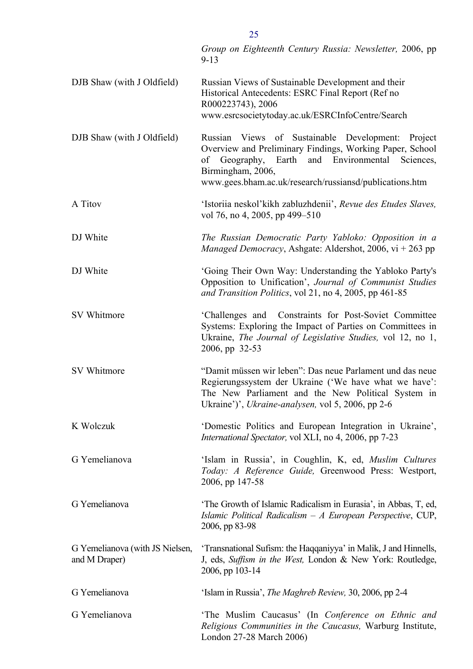|                                                  | Group on Eighteenth Century Russia: Newsletter, 2006, pp<br>$9 - 13$                                                                                                                                                                                   |
|--------------------------------------------------|--------------------------------------------------------------------------------------------------------------------------------------------------------------------------------------------------------------------------------------------------------|
| DJB Shaw (with J Oldfield)                       | Russian Views of Sustainable Development and their<br>Historical Antecedents: ESRC Final Report (Ref no<br>R000223743), 2006<br>www.esrcsocietytoday.ac.uk/ESRCInfoCentre/Search                                                                       |
| DJB Shaw (with J Oldfield)                       | Russian Views of Sustainable Development: Project<br>Overview and Preliminary Findings, Working Paper, School<br>Geography, Earth and Environmental<br>of<br>Sciences,<br>Birmingham, 2006,<br>www.gees.bham.ac.uk/research/russiansd/publications.htm |
| A Titov                                          | 'Istoriia neskol'kikh zabluzhdenii', Revue des Etudes Slaves,<br>vol 76, no 4, 2005, pp 499–510                                                                                                                                                        |
| DJ White                                         | The Russian Democratic Party Yabloko: Opposition in a<br><i>Managed Democracy</i> , Ashgate: Aldershot, 2006, vi + 263 pp                                                                                                                              |
| DJ White                                         | 'Going Their Own Way: Understanding the Yabloko Party's<br>Opposition to Unification', Journal of Communist Studies<br>and Transition Politics, vol 21, no 4, 2005, pp 461-85                                                                          |
| SV Whitmore                                      | 'Challenges and Constraints for Post-Soviet Committee<br>Systems: Exploring the Impact of Parties on Committees in<br>Ukraine, <i>The Journal of Legislative Studies</i> , vol 12, no 1,<br>2006, pp 32-53                                             |
| SV Whitmore                                      | "Damit müssen wir leben": Das neue Parlament und das neue<br>Regierungssystem der Ukraine ('We have what we have':<br>The New Parliament and the New Political System in<br>Ukraine')', Ukraine-analysen, vol 5, 2006, pp 2-6                          |
| K Wolczuk                                        | 'Domestic Politics and European Integration in Ukraine',<br>International Spectator, vol XLI, no 4, 2006, pp 7-23                                                                                                                                      |
| G Yemelianova                                    | 'Islam in Russia', in Coughlin, K, ed, Muslim Cultures<br>Today: A Reference Guide, Greenwood Press: Westport,<br>2006, pp 147-58                                                                                                                      |
| G Yemelianova                                    | 'The Growth of Islamic Radicalism in Eurasia', in Abbas, T, ed,<br>Islamic Political Radicalism $-A$ European Perspective, CUP,<br>2006, pp 83-98                                                                                                      |
| G Yemelianova (with JS Nielsen,<br>and M Draper) | 'Transnational Sufism: the Haqqaniyya' in Malik, J and Hinnells,<br>J, eds, Suffism in the West, London & New York: Routledge,<br>2006, pp 103-14                                                                                                      |
| G Yemelianova                                    | 'Islam in Russia', <i>The Maghreb Review</i> , 30, 2006, pp 2-4                                                                                                                                                                                        |
| G Yemelianova                                    | 'The Muslim Caucasus' (In Conference on Ethnic and<br>Religious Communities in the Caucasus, Warburg Institute,<br>London 27-28 March 2006)                                                                                                            |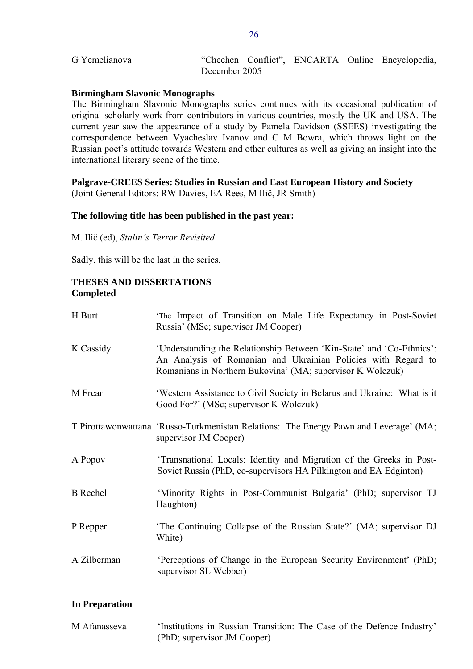<span id="page-25-0"></span>

| G Yemelianova |               |  | "Chechen Conflict", ENCARTA Online Encyclopedia, |
|---------------|---------------|--|--------------------------------------------------|
|               | December 2005 |  |                                                  |

### **Birmingham Slavonic Monographs**

The Birmingham Slavonic Monographs series continues with its occasional publication of original scholarly work from contributors in various countries, mostly the UK and USA. The current year saw the appearance of a study by Pamela Davidson (SSEES) investigating the correspondence between Vyacheslav Ivanov and C M Bowra, which throws light on the Russian poet's attitude towards Western and other cultures as well as giving an insight into the international literary scene of the time.

### **Palgrave-CREES Series: Studies in Russian and East European History and Society**  (Joint General Editors: RW Davies, EA Rees, M Ilič, JR Smith)

### **The following title has been published in the past year:**

M. Ilič (ed), *Stalin's Terror Revisited* 

Sadly, this will be the last in the series.

## **THESES AND DISSERTATIONS Completed**

| H Burt          | 'The Impact of Transition on Male Life Expectancy in Post-Soviet<br>Russia' (MSc; supervisor JM Cooper)                                                                                              |
|-----------------|------------------------------------------------------------------------------------------------------------------------------------------------------------------------------------------------------|
| K Cassidy       | 'Understanding the Relationship Between 'Kin-State' and 'Co-Ethnics':<br>An Analysis of Romanian and Ukrainian Policies with Regard to<br>Romanians in Northern Bukovina' (MA; supervisor K Wolczuk) |
| M Frear         | 'Western Assistance to Civil Society in Belarus and Ukraine: What is it<br>Good For?' (MSc; supervisor K Wolczuk)                                                                                    |
|                 | T Pirottawonwattana 'Russo-Turkmenistan Relations: The Energy Pawn and Leverage' (MA;<br>supervisor JM Cooper)                                                                                       |
| A Popov         | 'Transnational Locals: Identity and Migration of the Greeks in Post-<br>Soviet Russia (PhD, co-supervisors HA Pilkington and EA Edginton)                                                            |
| <b>B</b> Rechel | 'Minority Rights in Post-Communist Bulgaria' (PhD; supervisor TJ<br>Haughton)                                                                                                                        |
| P Repper        | 'The Continuing Collapse of the Russian State?' (MA; supervisor DJ<br>White)                                                                                                                         |
| A Zilberman     | 'Perceptions of Change in the European Security Environment' (PhD;<br>supervisor SL Webber)                                                                                                          |

### **In Preparation**

| M Afanasseva | 'Institutions in Russian Transition: The Case of the Defence Industry' |  |  |  |  |
|--------------|------------------------------------------------------------------------|--|--|--|--|
|              | (PhD; supervisor JM Cooper)                                            |  |  |  |  |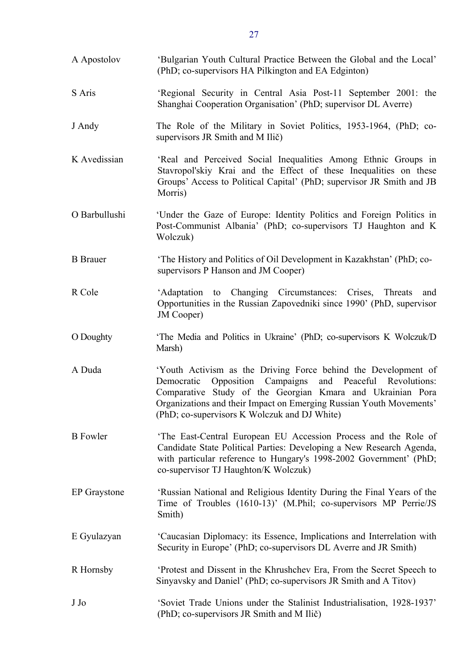| A Apostolov         | 'Bulgarian Youth Cultural Practice Between the Global and the Local'<br>(PhD; co-supervisors HA Pilkington and EA Edginton)                                                                                                                                                                                            |
|---------------------|------------------------------------------------------------------------------------------------------------------------------------------------------------------------------------------------------------------------------------------------------------------------------------------------------------------------|
| S Aris              | 'Regional Security in Central Asia Post-11 September 2001: the<br>Shanghai Cooperation Organisation' (PhD; supervisor DL Averre)                                                                                                                                                                                       |
| J Andy              | The Role of the Military in Soviet Politics, 1953-1964, (PhD; co-<br>supervisors JR Smith and M Ilič)                                                                                                                                                                                                                  |
| K Avedissian        | 'Real and Perceived Social Inequalities Among Ethnic Groups in<br>Stavropol'skiy Krai and the Effect of these Inequalities on these<br>Groups' Access to Political Capital' (PhD; supervisor JR Smith and JB<br>Morris)                                                                                                |
| O Barbullushi       | 'Under the Gaze of Europe: Identity Politics and Foreign Politics in<br>Post-Communist Albania' (PhD; co-supervisors TJ Haughton and K<br>Wolczuk)                                                                                                                                                                     |
| <b>B</b> Brauer     | 'The History and Politics of Oil Development in Kazakhstan' (PhD; co-<br>supervisors P Hanson and JM Cooper)                                                                                                                                                                                                           |
| R Cole              | 'Adaptation to Changing Circumstances: Crises, Threats<br>and<br>Opportunities in the Russian Zapovedniki since 1990' (PhD, supervisor<br>JM Cooper)                                                                                                                                                                   |
| O Doughty           | 'The Media and Politics in Ukraine' (PhD; co-supervisors K Wolczuk/D)<br>Marsh)                                                                                                                                                                                                                                        |
| A Duda              | 'Youth Activism as the Driving Force behind the Development of<br>Opposition Campaigns<br>and Peaceful Revolutions:<br>Democratic<br>Comparative Study of the Georgian Kmara and Ukrainian Pora<br>Organizations and their Impact on Emerging Russian Youth Movements'<br>(PhD; co-supervisors K Wolczuk and DJ White) |
| <b>B</b> Fowler     | The East-Central European EU Accession Process and the Role of<br>Candidate State Political Parties: Developing a New Research Agenda,<br>with particular reference to Hungary's 1998-2002 Government' (PhD;<br>co-supervisor TJ Haughton/K Wolczuk)                                                                   |
| <b>EP</b> Graystone | 'Russian National and Religious Identity During the Final Years of the<br>Time of Troubles (1610-13)' (M.Phil; co-supervisors MP Perrie/JS<br>Smith)                                                                                                                                                                   |
| E Gyulazyan         | 'Caucasian Diplomacy: its Essence, Implications and Interrelation with<br>Security in Europe' (PhD; co-supervisors DL Averre and JR Smith)                                                                                                                                                                             |
| R Hornsby           | Protest and Dissent in the Khrushchev Era, From the Secret Speech to<br>Sinyavsky and Daniel' (PhD; co-supervisors JR Smith and A Titov)                                                                                                                                                                               |
| J Jo                | 'Soviet Trade Unions under the Stalinist Industrialisation, 1928-1937'<br>(PhD; co-supervisors JR Smith and M Ilič)                                                                                                                                                                                                    |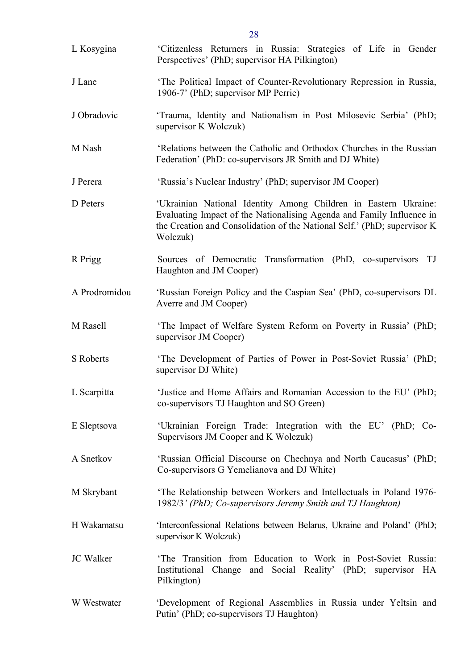| L Kosygina       | 'Citizenless Returners in Russia: Strategies of Life in Gender<br>Perspectives' (PhD; supervisor HA Pilkington)                                                                                                                  |
|------------------|----------------------------------------------------------------------------------------------------------------------------------------------------------------------------------------------------------------------------------|
| J Lane           | 'The Political Impact of Counter-Revolutionary Repression in Russia,<br>1906-7' (PhD; supervisor MP Perrie)                                                                                                                      |
| J Obradovic      | 'Trauma, Identity and Nationalism in Post Milosevic Serbia' (PhD;<br>supervisor K Wolczuk)                                                                                                                                       |
| M Nash           | 'Relations between the Catholic and Orthodox Churches in the Russian<br>Federation' (PhD: co-supervisors JR Smith and DJ White)                                                                                                  |
| J Perera         | 'Russia's Nuclear Industry' (PhD; supervisor JM Cooper)                                                                                                                                                                          |
| D Peters         | 'Ukrainian National Identity Among Children in Eastern Ukraine:<br>Evaluating Impact of the Nationalising Agenda and Family Influence in<br>the Creation and Consolidation of the National Self.' (PhD; supervisor K<br>Wolczuk) |
| R Prigg          | Sources of Democratic Transformation (PhD, co-supervisors TJ<br>Haughton and JM Cooper)                                                                                                                                          |
| A Prodromidou    | 'Russian Foreign Policy and the Caspian Sea' (PhD, co-supervisors DL<br>Averre and JM Cooper)                                                                                                                                    |
| M Rasell         | 'The Impact of Welfare System Reform on Poverty in Russia' (PhD;<br>supervisor JM Cooper)                                                                                                                                        |
| S Roberts        | 'The Development of Parties of Power in Post-Soviet Russia' (PhD;<br>supervisor DJ White)                                                                                                                                        |
| L Scarpitta      | 'Justice and Home Affairs and Romanian Accession to the EU' (PhD;<br>co-supervisors TJ Haughton and SO Green)                                                                                                                    |
| E Sleptsova      | 'Ukrainian Foreign Trade: Integration with the EU' (PhD; Co-<br>Supervisors JM Cooper and K Wolczuk)                                                                                                                             |
| A Snetkov        | 'Russian Official Discourse on Chechnya and North Caucasus' (PhD;<br>Co-supervisors G Yemelianova and DJ White)                                                                                                                  |
| M Skrybant       | 'The Relationship between Workers and Intellectuals in Poland 1976-<br>1982/3' (PhD; Co-supervisors Jeremy Smith and TJ Haughton)                                                                                                |
| H Wakamatsu      | 'Interconfessional Relations between Belarus, Ukraine and Poland' (PhD;<br>supervisor K Wolczuk)                                                                                                                                 |
| <b>JC</b> Walker | 'The Transition from Education to Work in Post-Soviet Russia:<br>Institutional Change and Social Reality' (PhD; supervisor HA<br>Pilkington)                                                                                     |
| W Westwater      | 'Development of Regional Assemblies in Russia under Yeltsin and<br>Putin' (PhD; co-supervisors TJ Haughton)                                                                                                                      |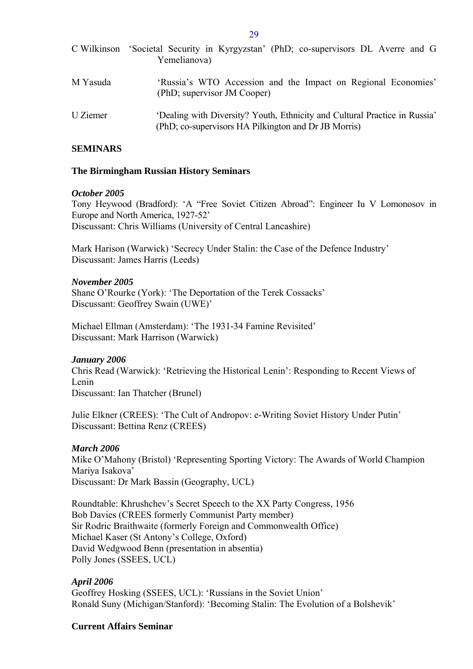<span id="page-28-0"></span>

|          | C Wilkinson 'Societal Security in Kyrgyzstan' (PhD; co-supervisors DL Averre and G<br>Yemelianova)                                 |
|----------|------------------------------------------------------------------------------------------------------------------------------------|
| M Yasuda | 'Russia's WTO Accession and the Impact on Regional Economies'<br>(PhD; supervisor JM Cooper)                                       |
| U Ziemer | 'Dealing with Diversity? Youth, Ethnicity and Cultural Practice in Russia'<br>(PhD; co-supervisors HA Pilkington and Dr JB Morris) |

### **SEMINARS**

### **The Birmingham Russian History Seminars**

### *October 2005*

Tony Heywood (Bradford): 'A "Free Soviet Citizen Abroad": Engineer Iu V Lomonosov in Europe and North America, 1927-52' Discussant: Chris Williams (University of Central Lancashire)

Mark Harison (Warwick) 'Secrecy Under Stalin: the Case of the Defence Industry' Discussant: James Harris (Leeds)

### *November 2005*

Shane O'Rourke (York): 'The Deportation of the Terek Cossacks' Discussant: Geoffrey Swain (UWE)'

Michael Ellman (Amsterdam): 'The 1931-34 Famine Revisited' Discussant: Mark Harrison (Warwick)

### *January 2006*

Chris Read (Warwick): 'Retrieving the Historical Lenin': Responding to Recent Views of Lenin

Discussant: Ian Thatcher (Brunel)

Julie Elkner (CREES): 'The Cult of Andropov: e-Writing Soviet History Under Putin' Discussant: Bettina Renz (CREES)

### *March 2006*

Mike O'Mahony (Bristol) 'Representing Sporting Victory: The Awards of World Champion Mariya Isakova' Discussant: Dr Mark Bassin (Geography, UCL)

Roundtable: Khrushchev's Secret Speech to the XX Party Congress, 1956 Bob Davies (CREES formerly Communist Party member) Sir Rodric Braithwaite (formerly Foreign and Commonwealth Office) Michael Kaser (St Antony's College, Oxford) David Wedgwood Benn (presentation in absentia) Polly Jones (SSEES, UCL)

### *April 2006*

Geoffrey Hosking (SSEES, UCL): 'Russians in the Soviet Union' Ronald Suny (Michigan/Stanford): 'Becoming Stalin: The Evolution of a Bolshevik'

#### **Current Affairs Seminar**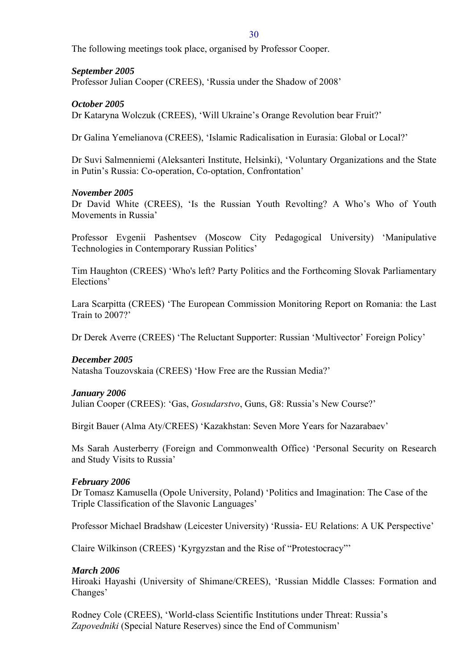The following meetings took place, organised by Professor Cooper.

## *September 2005*

Professor Julian Cooper (CREES), 'Russia under the Shadow of 2008'

## *October 2005*

Dr Kataryna Wolczuk (CREES), 'Will Ukraine's Orange Revolution bear Fruit?'

Dr Galina Yemelianova (CREES), 'Islamic Radicalisation in Eurasia: Global or Local?'

Dr Suvi Salmenniemi (Aleksanteri Institute, Helsinki), 'Voluntary Organizations and the State in Putin's Russia: Co-operation, Co-optation, Confrontation'

## *November 2005*

Dr David White (CREES), 'Is the Russian Youth Revolting? A Who's Who of Youth Movements in Russia'

Professor Evgenii Pashentsev (Moscow City Pedagogical University) 'Manipulative Technologies in Contemporary Russian Politics'

Tim Haughton (CREES) 'Who's left? Party Politics and the Forthcoming Slovak Parliamentary Elections'

Lara Scarpitta (CREES) 'The European Commission Monitoring Report on Romania: the Last Train to 2007?'

Dr Derek Averre (CREES) 'The Reluctant Supporter: Russian 'Multivector' Foreign Policy'

## *December 2005*

Natasha Touzovskaia (CREES) 'How Free are the Russian Media?'

## *January 2006*

Julian Cooper (CREES): 'Gas, *Gosudarstvo*, Guns, G8: Russia's New Course?'

Birgit Bauer (Alma Aty/CREES) 'Kazakhstan: Seven More Years for Nazarabaev'

Ms Sarah Austerberry (Foreign and Commonwealth Office) 'Personal Security on Research and Study Visits to Russia'

### *February 2006*

Dr Tomasz Kamusella (Opole University, Poland) 'Politics and Imagination: The Case of the Triple Classification of the Slavonic Languages'

Professor Michael Bradshaw (Leicester University) 'Russia- EU Relations: A UK Perspective'

Claire Wilkinson (CREES) 'Kyrgyzstan and the Rise of "Protestocracy"'

## *March 2006*

Hiroaki Hayashi (University of Shimane/CREES), 'Russian Middle Classes: Formation and Changes'

Rodney Cole (CREES), 'World-class Scientific Institutions under Threat: Russia's *Zapovedniki* (Special Nature Reserves) since the End of Communism'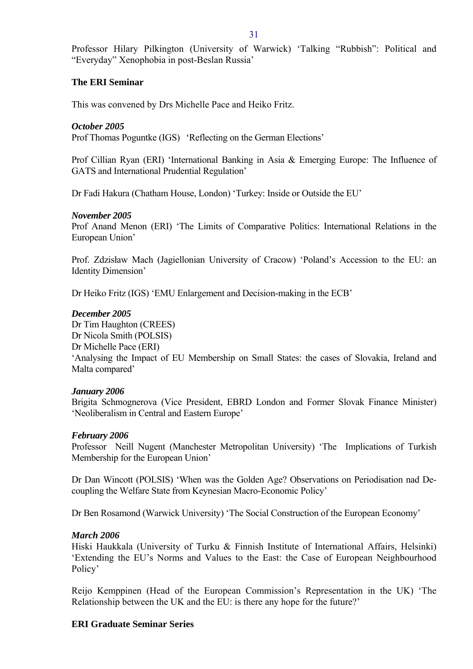<span id="page-30-0"></span>Professor Hilary Pilkington (University of Warwick) 'Talking "Rubbish": Political and "Everyday" Xenophobia in post-Beslan Russia'

# **The ERI Seminar**

This was convened by Drs Michelle Pace and Heiko Fritz.

## *October 2005*

Prof Thomas Poguntke (IGS) 'Reflecting on the German Elections'

Prof Cillian Ryan (ERI) 'International Banking in Asia & Emerging Europe: The Influence of GATS and International Prudential Regulation'

Dr Fadi Hakura (Chatham House, London) 'Turkey: Inside or Outside the EU'

## *November 2005*

Prof Anand Menon (ERI) 'The Limits of Comparative Politics: International Relations in the European Union'

Prof. Zdzisław Mach (Jagiellonian University of Cracow) 'Poland's Accession to the EU: an Identity Dimension'

Dr Heiko Fritz (IGS) 'EMU Enlargement and Decision-making in the ECB'

## *December 2005*

Dr Tim Haughton (CREES) Dr Nicola Smith (POLSIS) Dr Michelle Pace (ERI) 'Analysing the Impact of EU Membership on Small States: the cases of Slovakia, Ireland and Malta compared'

## *January 2006*

Brigita Schmognerova (Vice President, EBRD London and Former Slovak Finance Minister) 'Neoliberalism in Central and Eastern Europe'

## *February 2006*

Professor Neill Nugent (Manchester Metropolitan University) 'The Implications of Turkish Membership for the European Union'

Dr Dan Wincott (POLSIS) 'When was the Golden Age? Observations on Periodisation nad Decoupling the Welfare State from Keynesian Macro-Economic Policy'

Dr Ben Rosamond (Warwick University) 'The Social Construction of the European Economy'

## *March 2006*

Hiski Haukkala (University of Turku & Finnish Institute of International Affairs, Helsinki) 'Extending the EU's Norms and Values to the East: the Case of European Neighbourhood Policy'

Reijo Kemppinen (Head of the European Commission's Representation in the UK) 'The Relationship between the UK and the EU: is there any hope for the future?'

## **ERI Graduate Seminar Series**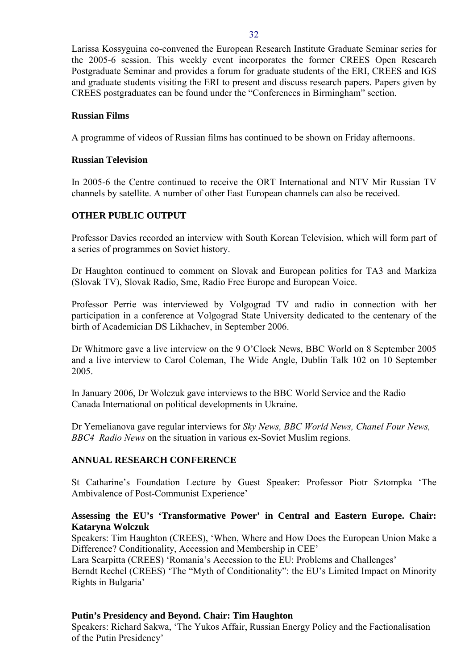<span id="page-31-0"></span>Larissa Kossyguina co-convened the European Research Institute Graduate Seminar series for the 2005-6 session. This weekly event incorporates the former CREES Open Research Postgraduate Seminar and provides a forum for graduate students of the ERI, CREES and IGS and graduate students visiting the ERI to present and discuss research papers. Papers given by CREES postgraduates can be found under the "Conferences in Birmingham" section.

## **Russian Films**

A programme of videos of Russian films has continued to be shown on Friday afternoons.

### **Russian Television**

In 2005-6 the Centre continued to receive the ORT International and NTV Mir Russian TV channels by satellite. A number of other East European channels can also be received.

## **OTHER PUBLIC OUTPUT**

Professor Davies recorded an interview with South Korean Television, which will form part of a series of programmes on Soviet history.

Dr Haughton continued to comment on Slovak and European politics for TA3 and Markiza (Slovak TV), Slovak Radio, Sme, Radio Free Europe and European Voice.

Professor Perrie was interviewed by Volgograd TV and radio in connection with her participation in a conference at Volgograd State University dedicated to the centenary of the birth of Academician DS Likhachev, in September 2006.

Dr Whitmore gave a live interview on the 9 O'Clock News, BBC World on 8 September 2005 and a live interview to Carol Coleman, The Wide Angle, Dublin Talk 102 on 10 September 2005.

In January 2006, Dr Wolczuk gave interviews to the BBC World Service and the Radio Canada International on political developments in Ukraine.

Dr Yemelianova gave regular interviews for *Sky News, BBC World News, Chanel Four News, BBC4 Radio News* on the situation in various ex-Soviet Muslim regions.

## **ANNUAL RESEARCH CONFERENCE**

St Catharine's Foundation Lecture by Guest Speaker: Professor Piotr Sztompka 'The Ambivalence of Post-Communist Experience'

# **Assessing the EU's 'Transformative Power' in Central and Eastern Europe. Chair: Kataryna Wolczuk**

Speakers: Tim Haughton (CREES), 'When, Where and How Does the European Union Make a Difference? Conditionality, Accession and Membership in CEE'

Lara Scarpitta (CREES) 'Romania's Accession to the EU: Problems and Challenges'

Berndt Rechel (CREES) 'The "Myth of Conditionality": the EU's Limited Impact on Minority Rights in Bulgaria'

## **Putin's Presidency and Beyond. Chair: Tim Haughton**

Speakers: Richard Sakwa, 'The Yukos Affair, Russian Energy Policy and the Factionalisation of the Putin Presidency'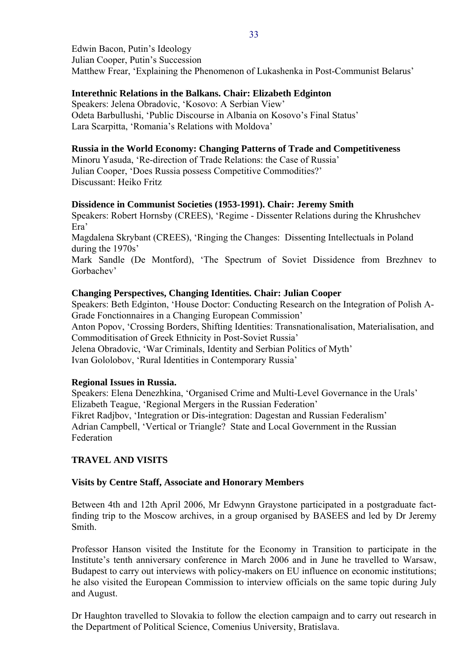<span id="page-32-0"></span>Edwin Bacon, Putin's Ideology Julian Cooper, Putin's Succession Matthew Frear, 'Explaining the Phenomenon of Lukashenka in Post-Communist Belarus'

## **Interethnic Relations in the Balkans. Chair: Elizabeth Edginton**

Speakers: Jelena Obradovic, 'Kosovo: A Serbian View' Odeta Barbullushi, 'Public Discourse in Albania on Kosovo's Final Status' Lara Scarpitta, 'Romania's Relations with Moldova'

## **Russia in the World Economy: Changing Patterns of Trade and Competitiveness**

Minoru Yasuda, 'Re-direction of Trade Relations: the Case of Russia' Julian Cooper, 'Does Russia possess Competitive Commodities?' Discussant: Heiko Fritz

## **Dissidence in Communist Societies (1953-1991). Chair: Jeremy Smith**

Speakers: Robert Hornsby (CREES), 'Regime - Dissenter Relations during the Khrushchev Era'

Magdalena Skrybant (CREES), 'Ringing the Changes: Dissenting Intellectuals in Poland during the 1970s'

Mark Sandle (De Montford), 'The Spectrum of Soviet Dissidence from Brezhnev to Gorbachev'

## **Changing Perspectives, Changing Identities. Chair: Julian Cooper**

Speakers: Beth Edginton, 'House Doctor: Conducting Research on the Integration of Polish A-Grade Fonctionnaires in a Changing European Commission' Anton Popov, 'Crossing Borders, Shifting Identities: Transnationalisation, Materialisation, and Commoditisation of Greek Ethnicity in Post-Soviet Russia' Jelena Obradovic, 'War Criminals, Identity and Serbian Politics of Myth' Ivan Gololobov, 'Rural Identities in Contemporary Russia'

## **Regional Issues in Russia.**

Speakers: Elena Denezhkina, 'Organised Crime and Multi-Level Governance in the Urals' Elizabeth Teague, 'Regional Mergers in the Russian Federation' Fikret Radjbov, 'Integration or Dis-integration: Dagestan and Russian Federalism' Adrian Campbell, 'Vertical or Triangle? State and Local Government in the Russian Federation

# **TRAVEL AND VISITS**

## **Visits by Centre Staff, Associate and Honorary Members**

Between 4th and 12th April 2006, Mr Edwynn Graystone participated in a postgraduate factfinding trip to the Moscow archives, in a group organised by BASEES and led by Dr Jeremy Smith.

Professor Hanson visited the Institute for the Economy in Transition to participate in the Institute's tenth anniversary conference in March 2006 and in June he travelled to Warsaw, Budapest to carry out interviews with policy-makers on EU influence on economic institutions; he also visited the European Commission to interview officials on the same topic during July and August.

Dr Haughton travelled to Slovakia to follow the election campaign and to carry out research in the Department of Political Science, Comenius University, Bratislava.